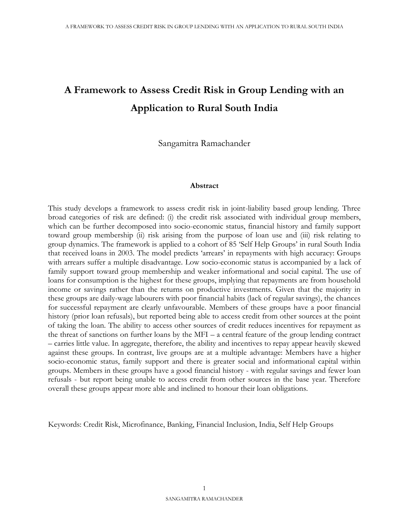# **A Framework to Assess Credit Risk in Group Lending with an Application to Rural South India**

Sangamitra Ramachander

#### **Abstract**

This study develops a framework to assess credit risk in joint-liability based group lending. Three broad categories of risk are defined: (i) the credit risk associated with individual group members, which can be further decomposed into socio-economic status, financial history and family support toward group membership (ii) risk arising from the purpose of loan use and (iii) risk relating to group dynamics. The framework is applied to a cohort of 85 'Self Help Groups' in rural South India that received loans in 2003. The model predicts 'arrears' in repayments with high accuracy: Groups with arrears suffer a multiple disadvantage. Low socio-economic status is accompanied by a lack of family support toward group membership and weaker informational and social capital. The use of loans for consumption is the highest for these groups, implying that repayments are from household income or savings rather than the returns on productive investments. Given that the majority in these groups are daily-wage labourers with poor financial habits (lack of regular savings), the chances for successful repayment are clearly unfavourable. Members of these groups have a poor financial history (prior loan refusals), but reported being able to access credit from other sources at the point of taking the loan. The ability to access other sources of credit reduces incentives for repayment as the threat of sanctions on further loans by the MFI – a central feature of the group lending contract – carries little value. In aggregate, therefore, the ability and incentives to repay appear heavily skewed against these groups. In contrast, live groups are at a multiple advantage: Members have a higher socio-economic status, family support and there is greater social and informational capital within groups. Members in these groups have a good financial history - with regular savings and fewer loan refusals - but report being unable to access credit from other sources in the base year. Therefore overall these groups appear more able and inclined to honour their loan obligations.

Keywords: Credit Risk, Microfinance, Banking, Financial Inclusion, India, Self Help Groups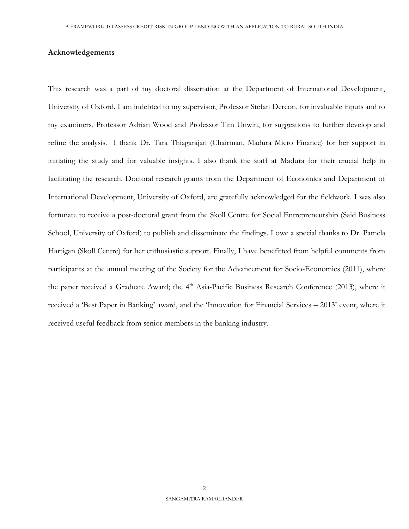#### **Acknowledgements**

This research was a part of my doctoral dissertation at the Department of International Development, University of Oxford. I am indebted to my supervisor, Professor Stefan Dercon, for invaluable inputs and to my examiners, Professor Adrian Wood and Professor Tim Unwin, for suggestions to further develop and refine the analysis. I thank Dr. Tara Thiagarajan (Chairman, Madura Micro Finance) for her support in initiating the study and for valuable insights. I also thank the staff at Madura for their crucial help in facilitating the research. Doctoral research grants from the Department of Economics and Department of International Development, University of Oxford, are gratefully acknowledged for the fieldwork. I was also fortunate to receive a post-doctoral grant from the Skoll Centre for Social Entrepreneurship (Said Business School, University of Oxford) to publish and disseminate the findings. I owe a special thanks to Dr. Pamela Hartigan (Skoll Centre) for her enthusiastic support. Finally, I have benefitted from helpful comments from participants at the annual meeting of the Society for the Advancement for Socio-Economics (2011), where the paper received a Graduate Award; the 4<sup>th</sup> Asia-Pacific Business Research Conference (2013), where it received a 'Best Paper in Banking' award, and the 'Innovation for Financial Services – 2013' event, where it received useful feedback from senior members in the banking industry.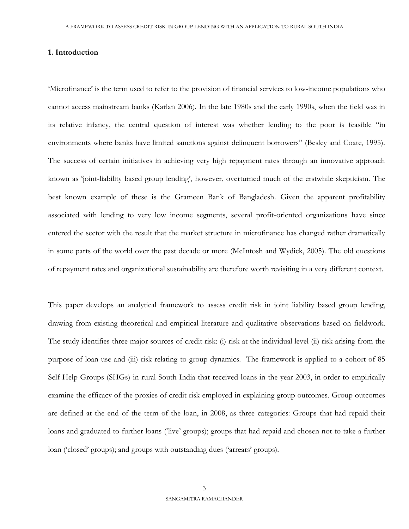#### **1. Introduction**

'Microfinance' is the term used to refer to the provision of financial services to low-income populations who cannot access mainstream banks (Karlan 2006). In the late 1980s and the early 1990s, when the field was in its relative infancy, the central question of interest was whether lending to the poor is feasible "in environments where banks have limited sanctions against delinquent borrowers" (Besley and Coate, 1995). The success of certain initiatives in achieving very high repayment rates through an innovative approach known as 'joint-liability based group lending', however, overturned much of the erstwhile skepticism. The best known example of these is the Grameen Bank of Bangladesh. Given the apparent profitability associated with lending to very low income segments, several profit-oriented organizations have since entered the sector with the result that the market structure in microfinance has changed rather dramatically in some parts of the world over the past decade or more (McIntosh and Wydick, 2005). The old questions of repayment rates and organizational sustainability are therefore worth revisiting in a very different context.

This paper develops an analytical framework to assess credit risk in joint liability based group lending, drawing from existing theoretical and empirical literature and qualitative observations based on fieldwork. The study identifies three major sources of credit risk: (i) risk at the individual level (ii) risk arising from the purpose of loan use and (iii) risk relating to group dynamics. The framework is applied to a cohort of 85 Self Help Groups (SHGs) in rural South India that received loans in the year 2003, in order to empirically examine the efficacy of the proxies of credit risk employed in explaining group outcomes. Group outcomes are defined at the end of the term of the loan, in 2008, as three categories: Groups that had repaid their loans and graduated to further loans ('live' groups); groups that had repaid and chosen not to take a further loan ('closed' groups); and groups with outstanding dues ('arrears' groups).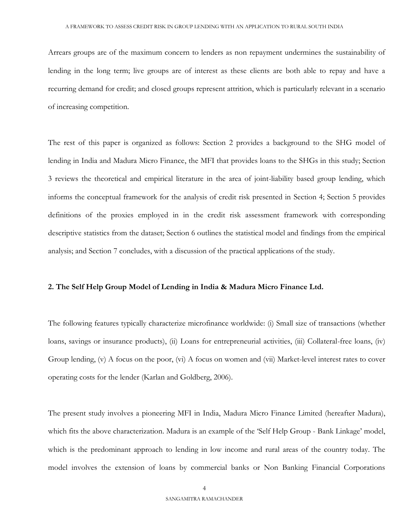Arrears groups are of the maximum concern to lenders as non repayment undermines the sustainability of lending in the long term; live groups are of interest as these clients are both able to repay and have a recurring demand for credit; and closed groups represent attrition, which is particularly relevant in a scenario of increasing competition.

The rest of this paper is organized as follows: Section 2 provides a background to the SHG model of lending in India and Madura Micro Finance, the MFI that provides loans to the SHGs in this study; Section 3 reviews the theoretical and empirical literature in the area of joint-liability based group lending, which informs the conceptual framework for the analysis of credit risk presented in Section 4; Section 5 provides definitions of the proxies employed in in the credit risk assessment framework with corresponding descriptive statistics from the dataset; Section 6 outlines the statistical model and findings from the empirical analysis; and Section 7 concludes, with a discussion of the practical applications of the study.

#### **2. The Self Help Group Model of Lending in India & Madura Micro Finance Ltd.**

The following features typically characterize microfinance worldwide: (i) Small size of transactions (whether loans, savings or insurance products), (ii) Loans for entrepreneurial activities, (iii) Collateral-free loans, (iv) Group lending, (v) A focus on the poor, (vi) A focus on women and (vii) Market-level interest rates to cover operating costs for the lender (Karlan and Goldberg, 2006).

The present study involves a pioneering MFI in India, Madura Micro Finance Limited (hereafter Madura), which fits the above characterization. Madura is an example of the 'Self Help Group - Bank Linkage' model, which is the predominant approach to lending in low income and rural areas of the country today. The model involves the extension of loans by commercial banks or Non Banking Financial Corporations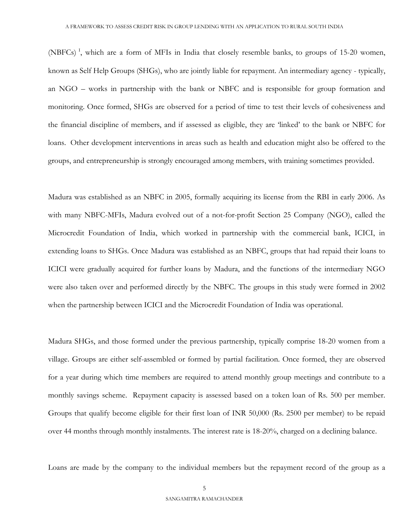(NBFCs)<sup>1</sup>, which are a form of MFIs in India that closely resemble banks, to groups of 15-20 women, known as Self Help Groups (SHGs), who are jointly liable for repayment. An intermediary agency - typically, an NGO – works in partnership with the bank or NBFC and is responsible for group formation and monitoring. Once formed, SHGs are observed for a period of time to test their levels of cohesiveness and the financial discipline of members, and if assessed as eligible, they are 'linked' to the bank or NBFC for loans. Other development interventions in areas such as health and education might also be offered to the groups, and entrepreneurship is strongly encouraged among members, with training sometimes provided.

Madura was established as an NBFC in 2005, formally acquiring its license from the RBI in early 2006. As with many NBFC-MFIs, Madura evolved out of a not-for-profit Section 25 Company (NGO), called the Microcredit Foundation of India, which worked in partnership with the commercial bank, ICICI, in extending loans to SHGs. Once Madura was established as an NBFC, groups that had repaid their loans to ICICI were gradually acquired for further loans by Madura, and the functions of the intermediary NGO were also taken over and performed directly by the NBFC. The groups in this study were formed in 2002 when the partnership between ICICI and the Microcredit Foundation of India was operational.

Madura SHGs, and those formed under the previous partnership, typically comprise 18-20 women from a village. Groups are either self-assembled or formed by partial facilitation. Once formed, they are observed for a year during which time members are required to attend monthly group meetings and contribute to a monthly savings scheme. Repayment capacity is assessed based on a token loan of Rs. 500 per member. Groups that qualify become eligible for their first loan of INR 50,000 (Rs. 2500 per member) to be repaid over 44 months through monthly instalments. The interest rate is 18-20%, charged on a declining balance.

Loans are made by the company to the individual members but the repayment record of the group as a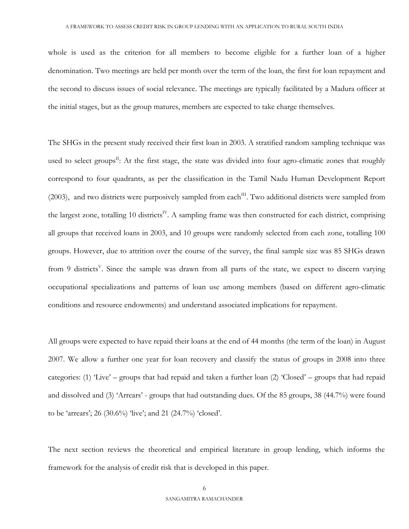whole is used as the criterion for all members to become eligible for a further loan of a higher denomination. Two meetings are held per month over the term of the loan, the first for loan repayment and the second to discuss issues of social relevance. The meetings are typically facilitated by a Madura officer at the initial stages, but as the group matures, members are expected to take charge themselves.

The SHGs in the present study received their first loan in 2003. A stratified random sampling technique was used to select groups<sup>II</sup>: At the first stage, the state was divided into four agro-climatic zones that roughly correspond to four quadrants, as per the classification in the Tamil Nadu Human Development Report (2003), and two districts were purposively sampled from each<sup>III</sup>. Two additional districts were sampled from the largest zone, totalling 10 districts<sup>IV</sup>. A sampling frame was then constructed for each district, comprising all groups that received loans in 2003, and 10 groups were randomly selected from each zone, totalling 100 groups. However, due to attrition over the course of the survey, the final sample size was 85 SHGs drawn from 9 districts<sup>V</sup>. Since the sample was drawn from all parts of the state, we expect to discern varying occupational specializations and patterns of loan use among members (based on different agro-climatic conditions and resource endowments) and understand associated implications for repayment.

All groups were expected to have repaid their loans at the end of 44 months (the term of the loan) in August 2007. We allow a further one year for loan recovery and classify the status of groups in 2008 into three categories: (1) 'Live' – groups that had repaid and taken a further loan (2) 'Closed' – groups that had repaid and dissolved and (3) 'Arrears' - groups that had outstanding dues. Of the 85 groups, 38 (44.7%) were found to be 'arrears'; 26 (30.6%) 'live'; and 21 (24.7%) 'closed'.

The next section reviews the theoretical and empirical literature in group lending, which informs the framework for the analysis of credit risk that is developed in this paper.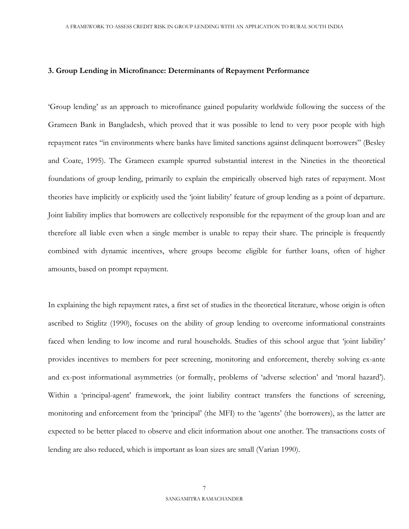#### **3. Group Lending in Microfinance: Determinants of Repayment Performance**

'Group lending' as an approach to microfinance gained popularity worldwide following the success of the Grameen Bank in Bangladesh, which proved that it was possible to lend to very poor people with high repayment rates "in environments where banks have limited sanctions against delinquent borrowers" (Besley and Coate, 1995). The Grameen example spurred substantial interest in the Nineties in the theoretical foundations of group lending, primarily to explain the empirically observed high rates of repayment. Most theories have implicitly or explicitly used the 'joint liability' feature of group lending as a point of departure. Joint liability implies that borrowers are collectively responsible for the repayment of the group loan and are therefore all liable even when a single member is unable to repay their share. The principle is frequently combined with dynamic incentives, where groups become eligible for further loans, often of higher amounts, based on prompt repayment.

In explaining the high repayment rates, a first set of studies in the theoretical literature, whose origin is often ascribed to Stiglitz (1990), focuses on the ability of group lending to overcome informational constraints faced when lending to low income and rural households. Studies of this school argue that 'joint liability' provides incentives to members for peer screening, monitoring and enforcement, thereby solving ex-ante and ex-post informational asymmetries (or formally, problems of 'adverse selection' and 'moral hazard'). Within a 'principal-agent' framework, the joint liability contract transfers the functions of screening, monitoring and enforcement from the 'principal' (the MFI) to the 'agents' (the borrowers), as the latter are expected to be better placed to observe and elicit information about one another. The transactions costs of lending are also reduced, which is important as loan sizes are small (Varian 1990).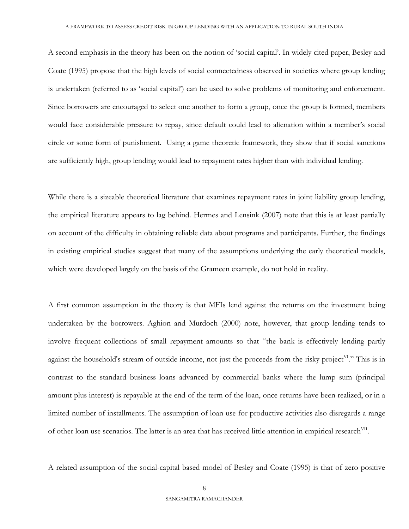A second emphasis in the theory has been on the notion of 'social capital'. In widely cited paper, Besley and Coate (1995) propose that the high levels of social connectedness observed in societies where group lending is undertaken (referred to as 'social capital') can be used to solve problems of monitoring and enforcement. Since borrowers are encouraged to select one another to form a group, once the group is formed, members would face considerable pressure to repay, since default could lead to alienation within a member's social circle or some form of punishment. Using a game theoretic framework, they show that if social sanctions are sufficiently high, group lending would lead to repayment rates higher than with individual lending.

While there is a sizeable theoretical literature that examines repayment rates in joint liability group lending, the empirical literature appears to lag behind. Hermes and Lensink (2007) note that this is at least partially on account of the difficulty in obtaining reliable data about programs and participants. Further, the findings in existing empirical studies suggest that many of the assumptions underlying the early theoretical models, which were developed largely on the basis of the Grameen example, do not hold in reality.

A first common assumption in the theory is that MFIs lend against the returns on the investment being undertaken by the borrowers. Aghion and Murdoch (2000) note, however, that group lending tends to involve frequent collections of small repayment amounts so that "the bank is effectively lending partly against the household's stream of outside income, not just the proceeds from the risky project<sup>VI</sup>." This is in contrast to the standard business loans advanced by commercial banks where the lump sum (principal amount plus interest) is repayable at the end of the term of the loan, once returns have been realized, or in a limited number of installments. The assumption of loan use for productive activities also disregards a range of other loan use scenarios. The latter is an area that has received little attention in empirical research<sup>VII</sup>.

A related assumption of the social-capital based model of Besley and Coate (1995) is that of zero positive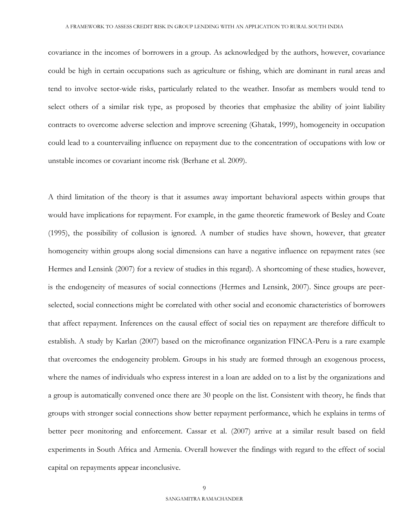covariance in the incomes of borrowers in a group. As acknowledged by the authors, however, covariance could be high in certain occupations such as agriculture or fishing, which are dominant in rural areas and tend to involve sector-wide risks, particularly related to the weather. Insofar as members would tend to select others of a similar risk type, as proposed by theories that emphasize the ability of joint liability contracts to overcome adverse selection and improve screening (Ghatak, 1999), homogeneity in occupation could lead to a countervailing influence on repayment due to the concentration of occupations with low or unstable incomes or covariant income risk (Berhane et al. 2009).

A third limitation of the theory is that it assumes away important behavioral aspects within groups that would have implications for repayment. For example, in the game theoretic framework of Besley and Coate (1995), the possibility of collusion is ignored. A number of studies have shown, however, that greater homogeneity within groups along social dimensions can have a negative influence on repayment rates (see Hermes and Lensink (2007) for a review of studies in this regard). A shortcoming of these studies, however, is the endogeneity of measures of social connections (Hermes and Lensink, 2007). Since groups are peerselected, social connections might be correlated with other social and economic characteristics of borrowers that affect repayment. Inferences on the causal effect of social ties on repayment are therefore difficult to establish. A study by Karlan (2007) based on the microfinance organization FINCA-Peru is a rare example that overcomes the endogeneity problem. Groups in his study are formed through an exogenous process, where the names of individuals who express interest in a loan are added on to a list by the organizations and a group is automatically convened once there are 30 people on the list. Consistent with theory, he finds that groups with stronger social connections show better repayment performance, which he explains in terms of better peer monitoring and enforcement. Cassar et al. (2007) arrive at a similar result based on field experiments in South Africa and Armenia. Overall however the findings with regard to the effect of social capital on repayments appear inconclusive.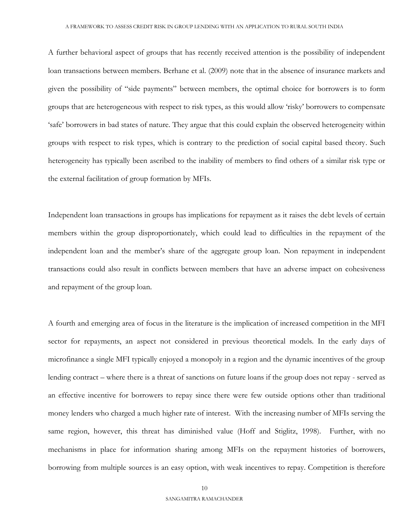A further behavioral aspect of groups that has recently received attention is the possibility of independent loan transactions between members. Berhane et al. (2009) note that in the absence of insurance markets and given the possibility of "side payments" between members, the optimal choice for borrowers is to form groups that are heterogeneous with respect to risk types, as this would allow 'risky' borrowers to compensate 'safe' borrowers in bad states of nature. They argue that this could explain the observed heterogeneity within groups with respect to risk types, which is contrary to the prediction of social capital based theory. Such heterogeneity has typically been ascribed to the inability of members to find others of a similar risk type or the external facilitation of group formation by MFIs.

Independent loan transactions in groups has implications for repayment as it raises the debt levels of certain members within the group disproportionately, which could lead to difficulties in the repayment of the independent loan and the member's share of the aggregate group loan. Non repayment in independent transactions could also result in conflicts between members that have an adverse impact on cohesiveness and repayment of the group loan.

A fourth and emerging area of focus in the literature is the implication of increased competition in the MFI sector for repayments, an aspect not considered in previous theoretical models. In the early days of microfinance a single MFI typically enjoyed a monopoly in a region and the dynamic incentives of the group lending contract – where there is a threat of sanctions on future loans if the group does not repay - served as an effective incentive for borrowers to repay since there were few outside options other than traditional money lenders who charged a much higher rate of interest. With the increasing number of MFIs serving the same region, however, this threat has diminished value (Hoff and Stiglitz, 1998). Further, with no mechanisms in place for information sharing among MFIs on the repayment histories of borrowers, borrowing from multiple sources is an easy option, with weak incentives to repay. Competition is therefore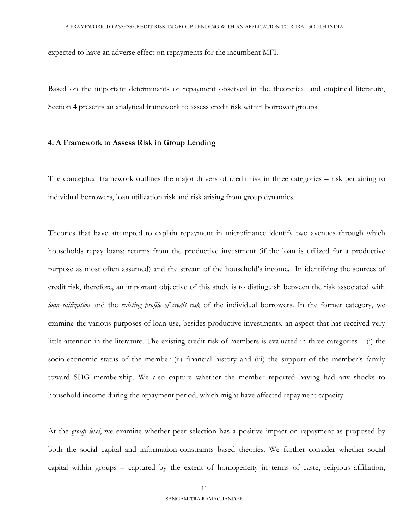expected to have an adverse effect on repayments for the incumbent MFI.

Based on the important determinants of repayment observed in the theoretical and empirical literature, Section 4 presents an analytical framework to assess credit risk within borrower groups.

#### **4. A Framework to Assess Risk in Group Lending**

The conceptual framework outlines the major drivers of credit risk in three categories – risk pertaining to individual borrowers, loan utilization risk and risk arising from group dynamics.

Theories that have attempted to explain repayment in microfinance identify two avenues through which households repay loans: returns from the productive investment (if the loan is utilized for a productive purpose as most often assumed) and the stream of the household's income. In identifying the sources of credit risk, therefore, an important objective of this study is to distinguish between the risk associated with *loan utilization* and the *existing profile of credit risk* of the individual borrowers. In the former category, we examine the various purposes of loan use, besides productive investments, an aspect that has received very little attention in the literature. The existing credit risk of members is evaluated in three categories – (i) the socio-economic status of the member (ii) financial history and (iii) the support of the member's family toward SHG membership. We also capture whether the member reported having had any shocks to household income during the repayment period, which might have affected repayment capacity.

At the *group level*, we examine whether peer selection has a positive impact on repayment as proposed by both the social capital and information-constraints based theories. We further consider whether social capital within groups – captured by the extent of homogeneity in terms of caste, religious affiliation,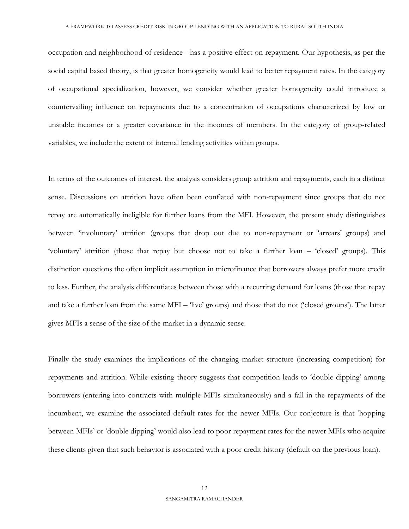occupation and neighborhood of residence - has a positive effect on repayment. Our hypothesis, as per the social capital based theory, is that greater homogeneity would lead to better repayment rates. In the category of occupational specialization, however, we consider whether greater homogeneity could introduce a countervailing influence on repayments due to a concentration of occupations characterized by low or unstable incomes or a greater covariance in the incomes of members. In the category of group-related variables, we include the extent of internal lending activities within groups.

In terms of the outcomes of interest, the analysis considers group attrition and repayments, each in a distinct sense. Discussions on attrition have often been conflated with non-repayment since groups that do not repay are automatically ineligible for further loans from the MFI. However, the present study distinguishes between 'involuntary' attrition (groups that drop out due to non-repayment or 'arrears' groups) and 'voluntary' attrition (those that repay but choose not to take a further loan – 'closed' groups). This distinction questions the often implicit assumption in microfinance that borrowers always prefer more credit to less. Further, the analysis differentiates between those with a recurring demand for loans (those that repay and take a further loan from the same MFI – 'live' groups) and those that do not ('closed groups'). The latter gives MFIs a sense of the size of the market in a dynamic sense.

Finally the study examines the implications of the changing market structure (increasing competition) for repayments and attrition. While existing theory suggests that competition leads to 'double dipping' among borrowers (entering into contracts with multiple MFIs simultaneously) and a fall in the repayments of the incumbent, we examine the associated default rates for the newer MFIs. Our conjecture is that 'hopping between MFIs' or 'double dipping' would also lead to poor repayment rates for the newer MFIs who acquire these clients given that such behavior is associated with a poor credit history (default on the previous loan).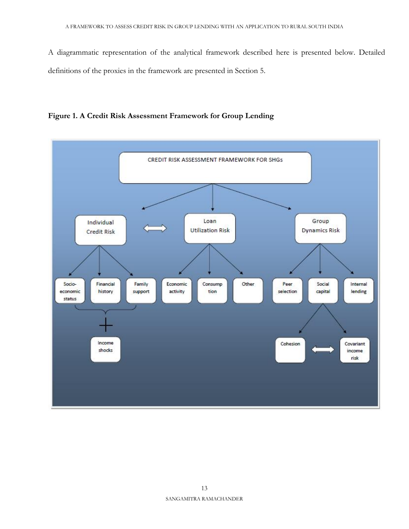A diagrammatic representation of the analytical framework described here is presented below. Detailed definitions of the proxies in the framework are presented in Section 5.



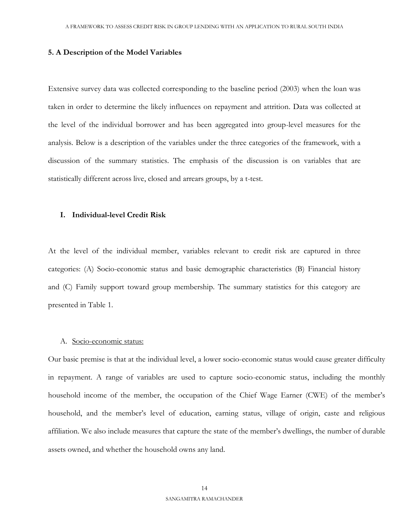#### **5. A Description of the Model Variables**

Extensive survey data was collected corresponding to the baseline period (2003) when the loan was taken in order to determine the likely influences on repayment and attrition. Data was collected at the level of the individual borrower and has been aggregated into group-level measures for the analysis. Below is a description of the variables under the three categories of the framework, with a discussion of the summary statistics. The emphasis of the discussion is on variables that are statistically different across live, closed and arrears groups, by a t-test.

#### **I. Individual-level Credit Risk**

At the level of the individual member, variables relevant to credit risk are captured in three categories: (A) Socio-economic status and basic demographic characteristics (B) Financial history and (C) Family support toward group membership. The summary statistics for this category are presented in Table 1.

#### A. Socio-economic status:

Our basic premise is that at the individual level, a lower socio-economic status would cause greater difficulty in repayment. A range of variables are used to capture socio-economic status, including the monthly household income of the member, the occupation of the Chief Wage Earner (CWE) of the member's household, and the member's level of education, earning status, village of origin, caste and religious affiliation. We also include measures that capture the state of the member's dwellings, the number of durable assets owned, and whether the household owns any land.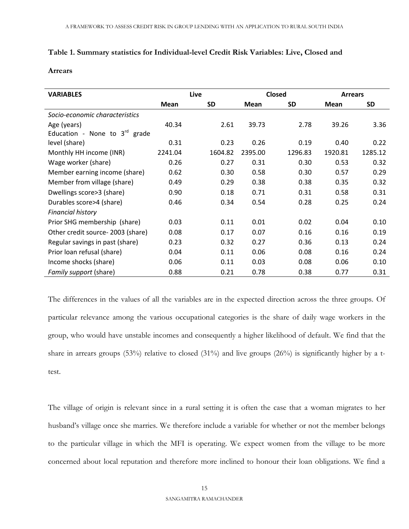## **Table 1. Summary statistics for Individual-level Credit Risk Variables: Live, Closed and**

#### **Arrears**

| <b>VARIABLES</b>                   |             | Live      |         | <b>Closed</b> |         | <b>Arrears</b> |
|------------------------------------|-------------|-----------|---------|---------------|---------|----------------|
|                                    | <b>Mean</b> | <b>SD</b> | Mean    | <b>SD</b>     | Mean    | <b>SD</b>      |
| Socio-economic characteristics     |             |           |         |               |         |                |
| Age (years)                        | 40.34       | 2.61      | 39.73   | 2.78          | 39.26   | 3.36           |
| Education - None to $3^{rd}$ grade |             |           |         |               |         |                |
| level (share)                      | 0.31        | 0.23      | 0.26    | 0.19          | 0.40    | 0.22           |
| Monthly HH income (INR)            | 2241.04     | 1604.82   | 2395.00 | 1296.83       | 1920.81 | 1285.12        |
| Wage worker (share)                | 0.26        | 0.27      | 0.31    | 0.30          | 0.53    | 0.32           |
| Member earning income (share)      | 0.62        | 0.30      | 0.58    | 0.30          | 0.57    | 0.29           |
| Member from village (share)        | 0.49        | 0.29      | 0.38    | 0.38          | 0.35    | 0.32           |
| Dwellings score>3 (share)          | 0.90        | 0.18      | 0.71    | 0.31          | 0.58    | 0.31           |
| Durables score>4 (share)           | 0.46        | 0.34      | 0.54    | 0.28          | 0.25    | 0.24           |
| <b>Financial history</b>           |             |           |         |               |         |                |
| Prior SHG membership (share)       | 0.03        | 0.11      | 0.01    | 0.02          | 0.04    | 0.10           |
| Other credit source-2003 (share)   | 0.08        | 0.17      | 0.07    | 0.16          | 0.16    | 0.19           |
| Regular savings in past (share)    | 0.23        | 0.32      | 0.27    | 0.36          | 0.13    | 0.24           |
| Prior loan refusal (share)         | 0.04        | 0.11      | 0.06    | 0.08          | 0.16    | 0.24           |
| Income shocks (share)              | 0.06        | 0.11      | 0.03    | 0.08          | 0.06    | 0.10           |
| Family support (share)             | 0.88        | 0.21      | 0.78    | 0.38          | 0.77    | 0.31           |

The differences in the values of all the variables are in the expected direction across the three groups. Of particular relevance among the various occupational categories is the share of daily wage workers in the group, who would have unstable incomes and consequently a higher likelihood of default. We find that the share in arrears groups (53%) relative to closed (31%) and live groups (26%) is significantly higher by a ttest.

The village of origin is relevant since in a rural setting it is often the case that a woman migrates to her husband's village once she marries. We therefore include a variable for whether or not the member belongs to the particular village in which the MFI is operating. We expect women from the village to be more concerned about local reputation and therefore more inclined to honour their loan obligations. We find a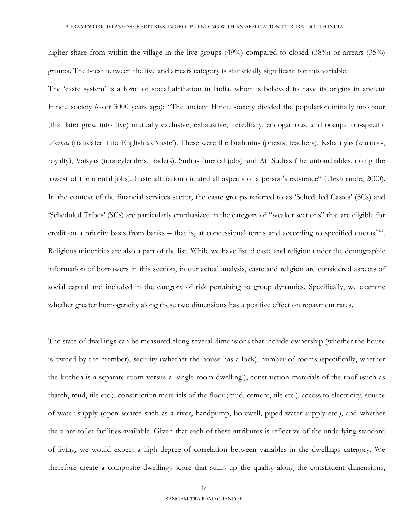higher share from within the village in the live groups (49%) compared to closed (38%) or arrears (35%) groups. The t-test between the live and arrears category is statistically significant for this variable.

The 'caste system' is a form of social affiliation in India, which is believed to have its origins in ancient Hindu society (over 3000 years ago): "The ancient Hindu society divided the population initially into four (that later grew into five) mutually exclusive, exhaustive, hereditary, endogamous, and occupation-specific *Varnas* (translated into English as 'caste'). These were the Brahmins (priests, teachers), Kshatriyas (warriors, royalty), Vaisyas (moneylenders, traders), Sudras (menial jobs) and Ati Sudras (the untouchables, doing the lowest of the menial jobs). Caste affiliation dictated all aspects of a person's existence" (Deshpande, 2000). In the context of the financial services sector, the caste groups referred to as 'Scheduled Castes' (SCs) and 'Scheduled Tribes' (SCs) are particularly emphasized in the category of "weaker sections" that are eligible for credit on a priority basis from banks – that is, at concessional terms and according to specified quotas<sup>VIII</sup>. Religious minorities are also a part of the list. While we have listed caste and religion under the demographic information of borrowers in this section, in our actual analysis, caste and religion are considered aspects of social capital and included in the category of risk pertaining to group dynamics. Specifically, we examine whether greater homogeneity along these two dimensions has a positive effect on repayment rates.

The state of dwellings can be measured along several dimensions that include ownership (whether the house is owned by the member), security (whether the house has a lock), number of rooms (specifically, whether the kitchen is a separate room versus a 'single room dwelling'), construction materials of the roof (such as thatch, mud, tile etc.), construction materials of the floor (mud, cement, tile etc.), access to electricity, source of water supply (open source such as a river, handpump, borewell, piped water supply etc.), and whether there are toilet facilities available. Given that each of these attributes is reflective of the underlying standard of living, we would expect a high degree of correlation between variables in the dwellings category. We therefore create a composite dwellings score that sums up the quality along the constituent dimensions,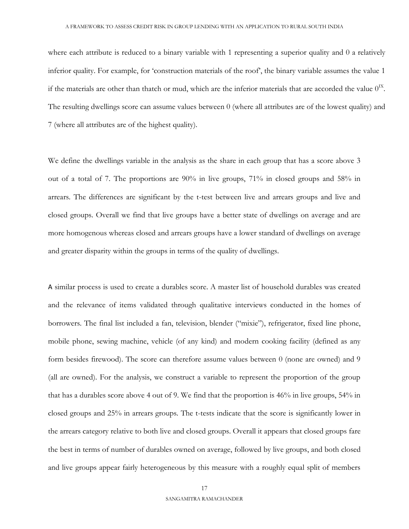where each attribute is reduced to a binary variable with 1 representing a superior quality and 0 a relatively inferior quality. For example, for 'construction materials of the roof', the binary variable assumes the value 1 if the materials are other than thatch or mud, which are the inferior materials that are accorded the value  $0^{\text{IX}}$ . The resulting dwellings score can assume values between 0 (where all attributes are of the lowest quality) and 7 (where all attributes are of the highest quality).

We define the dwellings variable in the analysis as the share in each group that has a score above 3 out of a total of 7. The proportions are 90% in live groups, 71% in closed groups and 58% in arrears. The differences are significant by the t-test between live and arrears groups and live and closed groups. Overall we find that live groups have a better state of dwellings on average and are more homogenous whereas closed and arrears groups have a lower standard of dwellings on average and greater disparity within the groups in terms of the quality of dwellings.

A similar process is used to create a durables score. A master list of household durables was created and the relevance of items validated through qualitative interviews conducted in the homes of borrowers. The final list included a fan, television, blender ("mixie"), refrigerator, fixed line phone, mobile phone, sewing machine, vehicle (of any kind) and modern cooking facility (defined as any form besides firewood). The score can therefore assume values between 0 (none are owned) and 9 (all are owned). For the analysis, we construct a variable to represent the proportion of the group that has a durables score above 4 out of 9. We find that the proportion is 46% in live groups, 54% in closed groups and 25% in arrears groups. The t-tests indicate that the score is significantly lower in the arrears category relative to both live and closed groups. Overall it appears that closed groups fare the best in terms of number of durables owned on average, followed by live groups, and both closed and live groups appear fairly heterogeneous by this measure with a roughly equal split of members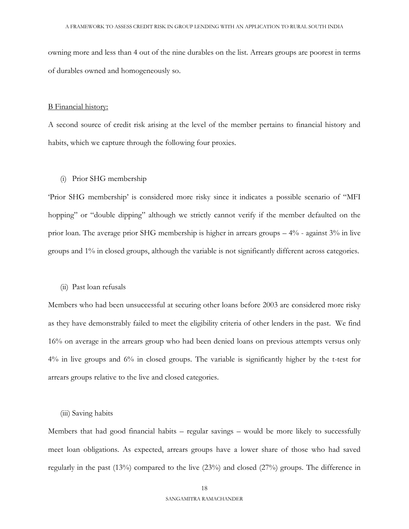owning more and less than 4 out of the nine durables on the list. Arrears groups are poorest in terms of durables owned and homogeneously so.

#### B Financial history:

A second source of credit risk arising at the level of the member pertains to financial history and habits, which we capture through the following four proxies.

#### (i) Prior SHG membership

'Prior SHG membership' is considered more risky since it indicates a possible scenario of "MFI hopping" or "double dipping" although we strictly cannot verify if the member defaulted on the prior loan. The average prior SHG membership is higher in arrears groups – 4% - against 3% in live groups and 1% in closed groups, although the variable is not significantly different across categories.

#### (ii) Past loan refusals

Members who had been unsuccessful at securing other loans before 2003 are considered more risky as they have demonstrably failed to meet the eligibility criteria of other lenders in the past. We find 16% on average in the arrears group who had been denied loans on previous attempts versus only 4% in live groups and 6% in closed groups. The variable is significantly higher by the t-test for arrears groups relative to the live and closed categories.

#### (iii) Saving habits

Members that had good financial habits – regular savings – would be more likely to successfully meet loan obligations. As expected, arrears groups have a lower share of those who had saved regularly in the past (13%) compared to the live (23%) and closed (27%) groups. The difference in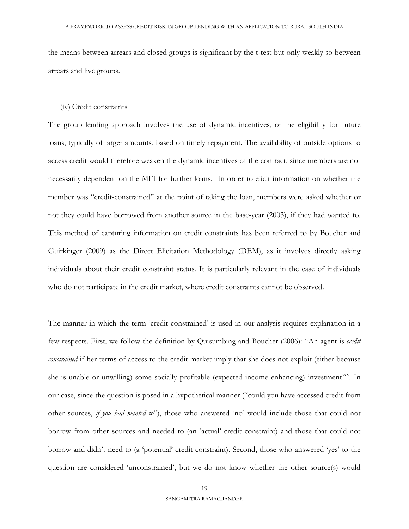the means between arrears and closed groups is significant by the t-test but only weakly so between arrears and live groups.

#### (iv) Credit constraints

The group lending approach involves the use of dynamic incentives, or the eligibility for future loans, typically of larger amounts, based on timely repayment. The availability of outside options to access credit would therefore weaken the dynamic incentives of the contract, since members are not necessarily dependent on the MFI for further loans. In order to elicit information on whether the member was "credit-constrained" at the point of taking the loan, members were asked whether or not they could have borrowed from another source in the base-year (2003), if they had wanted to. This method of capturing information on credit constraints has been referred to by Boucher and Guirkinger (2009) as the Direct Elicitation Methodology (DEM), as it involves directly asking individuals about their credit constraint status. It is particularly relevant in the case of individuals who do not participate in the credit market, where credit constraints cannot be observed.

The manner in which the term 'credit constrained' is used in our analysis requires explanation in a few respects. First, we follow the definition by Quisumbing and Boucher (2006): "An agent is *credit constrained* if her terms of access to the credit market imply that she does not exploit (either because she is unable or unwilling) some socially profitable (expected income enhancing) investment"<sup>X</sup>. In our case, since the question is posed in a hypothetical manner ("could you have accessed credit from other sources, *if you had wanted to*"), those who answered 'no' would include those that could not borrow from other sources and needed to (an 'actual' credit constraint) and those that could not borrow and didn't need to (a 'potential' credit constraint). Second, those who answered 'yes' to the question are considered 'unconstrained', but we do not know whether the other source(s) would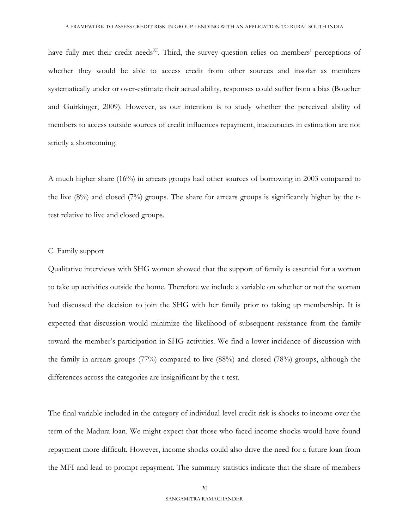have fully met their credit needs<sup>XI</sup>. Third, the survey question relies on members' perceptions of whether they would be able to access credit from other sources and insofar as members systematically under or over-estimate their actual ability, responses could suffer from a bias (Boucher and Guirkinger, 2009). However, as our intention is to study whether the perceived ability of members to access outside sources of credit influences repayment, inaccuracies in estimation are not strictly a shortcoming.

A much higher share (16%) in arrears groups had other sources of borrowing in 2003 compared to the live  $(8\%)$  and closed  $(7\%)$  groups. The share for arrears groups is significantly higher by the ttest relative to live and closed groups.

#### C. Family support

Qualitative interviews with SHG women showed that the support of family is essential for a woman to take up activities outside the home. Therefore we include a variable on whether or not the woman had discussed the decision to join the SHG with her family prior to taking up membership. It is expected that discussion would minimize the likelihood of subsequent resistance from the family toward the member's participation in SHG activities. We find a lower incidence of discussion with the family in arrears groups (77%) compared to live (88%) and closed (78%) groups, although the differences across the categories are insignificant by the t-test.

The final variable included in the category of individual-level credit risk is shocks to income over the term of the Madura loan. We might expect that those who faced income shocks would have found repayment more difficult. However, income shocks could also drive the need for a future loan from the MFI and lead to prompt repayment. The summary statistics indicate that the share of members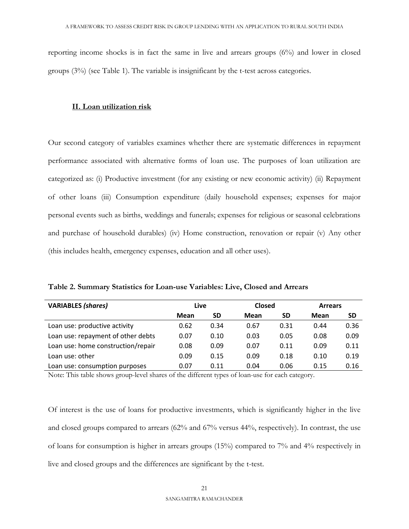reporting income shocks is in fact the same in live and arrears groups (6%) and lower in closed groups (3%) (see Table 1). The variable is insignificant by the t-test across categories.

## **II. Loan utilization risk**

Our second category of variables examines whether there are systematic differences in repayment performance associated with alternative forms of loan use. The purposes of loan utilization are categorized as: (i) Productive investment (for any existing or new economic activity) (ii) Repayment of other loans (iii) Consumption expenditure (daily household expenses; expenses for major personal events such as births, weddings and funerals; expenses for religious or seasonal celebrations and purchase of household durables) (iv) Home construction, renovation or repair (v) Any other (this includes health, emergency expenses, education and all other uses).

**Table 2. Summary Statistics for Loan-use Variables: Live, Closed and Arrears** 

| <b>VARIABLES (shares)</b>          | Live |           | <b>Closed</b> |      | <b>Arrears</b> |           |
|------------------------------------|------|-----------|---------------|------|----------------|-----------|
|                                    | Mean | <b>SD</b> | Mean          | SD   | Mean           | <b>SD</b> |
| Loan use: productive activity      | 0.62 | 0.34      | 0.67          | 0.31 | 0.44           | 0.36      |
| Loan use: repayment of other debts | 0.07 | 0.10      | 0.03          | 0.05 | 0.08           | 0.09      |
| Loan use: home construction/repair | 0.08 | 0.09      | 0.07          | 0.11 | 0.09           | 0.11      |
| Loan use: other                    | 0.09 | 0.15      | 0.09          | 0.18 | 0.10           | 0.19      |
| Loan use: consumption purposes     | 0.07 | 0.11      | 0.04          | 0.06 | 0.15           | 0.16      |

Note: This table shows group-level shares of the different types of loan-use for each category.

Of interest is the use of loans for productive investments, which is significantly higher in the live and closed groups compared to arrears (62% and 67% versus 44%, respectively). In contrast, the use of loans for consumption is higher in arrears groups (15%) compared to 7% and 4% respectively in live and closed groups and the differences are significant by the t-test.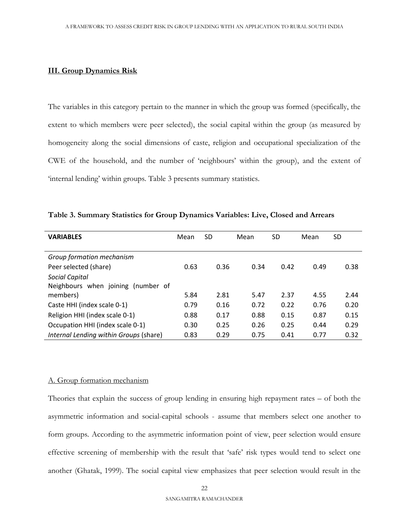# **III. Group Dynamics Risk**

The variables in this category pertain to the manner in which the group was formed (specifically, the extent to which members were peer selected), the social capital within the group (as measured by homogeneity along the social dimensions of caste, religion and occupational specialization of the CWE of the household, and the number of 'neighbours' within the group), and the extent of 'internal lending' within groups. Table 3 presents summary statistics.

| <b>VARIABLES</b>                       | Mean | <b>SD</b> | Mean | SD   | Mean | SD   |
|----------------------------------------|------|-----------|------|------|------|------|
|                                        |      |           |      |      |      |      |
| Group formation mechanism              |      |           |      |      |      |      |
| Peer selected (share)                  | 0.63 | 0.36      | 0.34 | 0.42 | 0.49 | 0.38 |
| <b>Social Capital</b>                  |      |           |      |      |      |      |
| Neighbours when joining<br>(number of  |      |           |      |      |      |      |
| members)                               | 5.84 | 2.81      | 5.47 | 2.37 | 4.55 | 2.44 |
| Caste HHI (index scale 0-1)            | 0.79 | 0.16      | 0.72 | 0.22 | 0.76 | 0.20 |
| Religion HHI (index scale 0-1)         | 0.88 | 0.17      | 0.88 | 0.15 | 0.87 | 0.15 |
| Occupation HHI (index scale 0-1)       | 0.30 | 0.25      | 0.26 | 0.25 | 0.44 | 0.29 |
| Internal Lending within Groups (share) | 0.83 | 0.29      | 0.75 | 0.41 | 0.77 | 0.32 |

**Table 3. Summary Statistics for Group Dynamics Variables: Live, Closed and Arrears**

#### A. Group formation mechanism

Theories that explain the success of group lending in ensuring high repayment rates – of both the asymmetric information and social-capital schools - assume that members select one another to form groups. According to the asymmetric information point of view, peer selection would ensure effective screening of membership with the result that 'safe' risk types would tend to select one another (Ghatak, 1999). The social capital view emphasizes that peer selection would result in the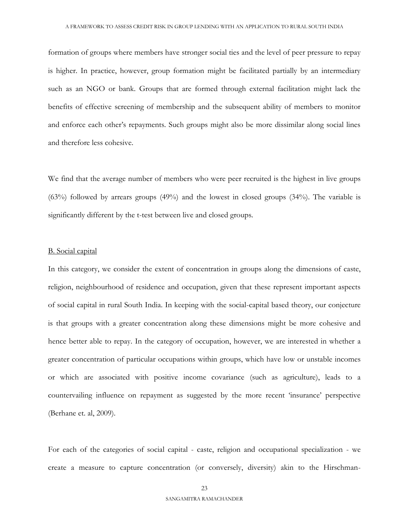formation of groups where members have stronger social ties and the level of peer pressure to repay is higher. In practice, however, group formation might be facilitated partially by an intermediary such as an NGO or bank. Groups that are formed through external facilitation might lack the benefits of effective screening of membership and the subsequent ability of members to monitor and enforce each other's repayments. Such groups might also be more dissimilar along social lines and therefore less cohesive.

We find that the average number of members who were peer recruited is the highest in live groups (63%) followed by arrears groups (49%) and the lowest in closed groups (34%). The variable is significantly different by the t-test between live and closed groups.

#### B. Social capital

In this category, we consider the extent of concentration in groups along the dimensions of caste, religion, neighbourhood of residence and occupation, given that these represent important aspects of social capital in rural South India. In keeping with the social-capital based theory, our conjecture is that groups with a greater concentration along these dimensions might be more cohesive and hence better able to repay. In the category of occupation, however, we are interested in whether a greater concentration of particular occupations within groups, which have low or unstable incomes or which are associated with positive income covariance (such as agriculture), leads to a countervailing influence on repayment as suggested by the more recent 'insurance' perspective (Berhane et. al, 2009).

For each of the categories of social capital - caste, religion and occupational specialization - we create a measure to capture concentration (or conversely, diversity) akin to the Hirschman-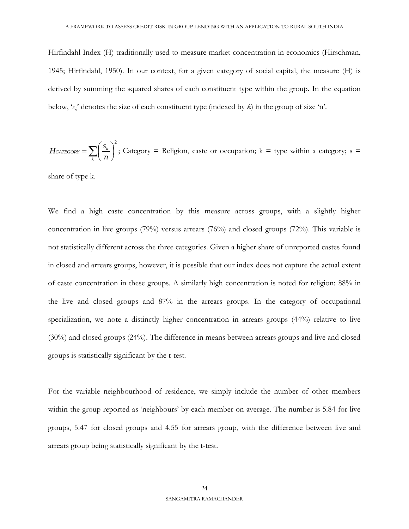Hirfindahl Index (H) traditionally used to measure market concentration in economics (Hirschman, 1945; Hirfindahl, 1950). In our context, for a given category of social capital, the measure (H) is derived by summing the squared shares of each constituent type within the group. In the equation below, '*s<sup>k</sup>* ' denotes the size of each constituent type (indexed by *k*) in the group of size 'n'.

*HcatEGORY* = 
$$
\sum_{k} \left( \frac{s_k}{n} \right)^2
$$
; Category = Religion, case or occupation; k = type within a category; s =

share of type k.

We find a high caste concentration by this measure across groups, with a slightly higher concentration in live groups (79%) versus arrears (76%) and closed groups (72%). This variable is not statistically different across the three categories. Given a higher share of unreported castes found in closed and arrears groups, however, it is possible that our index does not capture the actual extent of caste concentration in these groups. A similarly high concentration is noted for religion: 88% in the live and closed groups and 87% in the arrears groups. In the category of occupational specialization, we note a distinctly higher concentration in arrears groups (44%) relative to live (30%) and closed groups (24%). The difference in means between arrears groups and live and closed groups is statistically significant by the t-test.

For the variable neighbourhood of residence, we simply include the number of other members within the group reported as 'neighbours' by each member on average. The number is 5.84 for live groups, 5.47 for closed groups and 4.55 for arrears group, with the difference between live and arrears group being statistically significant by the t-test.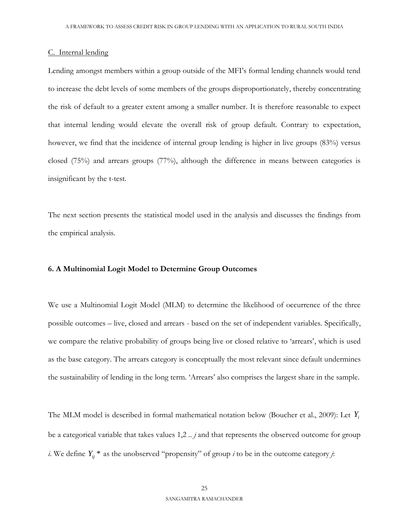# C. Internal lending

Lending amongst members within a group outside of the MFI's formal lending channels would tend to increase the debt levels of some members of the groups disproportionately, thereby concentrating the risk of default to a greater extent among a smaller number. It is therefore reasonable to expect that internal lending would elevate the overall risk of group default. Contrary to expectation, however, we find that the incidence of internal group lending is higher in live groups (83%) versus closed (75%) and arrears groups (77%), although the difference in means between categories is insignificant by the t-test.

The next section presents the statistical model used in the analysis and discusses the findings from the empirical analysis.

#### **6. A Multinomial Logit Model to Determine Group Outcomes**

We use a Multinomial Logit Model (MLM) to determine the likelihood of occurrence of the three possible outcomes – live, closed and arrears - based on the set of independent variables. Specifically, we compare the relative probability of groups being live or closed relative to 'arrears', which is used as the base category. The arrears category is conceptually the most relevant since default undermines the sustainability of lending in the long term. 'Arrears' also comprises the largest share in the sample.

The MLM model is described in formal mathematical notation below (Boucher et al., 2009): Let *Yi* be a categorical variable that takes values 1,2 *.. j* and that represents the observed outcome for group *i*. We define  $Y_{ij}$ <sup>\*</sup> as the unobserved "propensity" of group *i* to be in the outcome category *j*: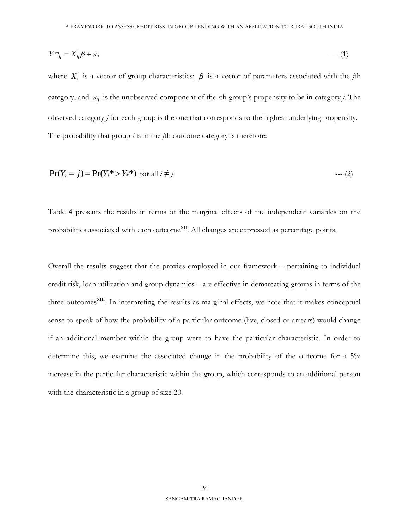$$
Y^*_{ij} = X^{\dagger}_{ij}\beta + \varepsilon_{ij} \tag{1}
$$

where  $X_i$  is a vector of group characteristics;  $\beta$  is a vector of parameters associated with the *j*th category, and  $\varepsilon_{ij}$  is the unobserved component of the *i*th group's propensity to be in category *j*. The observed category *j* for each group is the one that corresponds to the highest underlying propensity. The probability that group *i* is in the *j*th outcome category is therefore:

$$
Pr(Y_i = j) = Pr(Y_i^* > Y_*^*)
$$
 for all  $i \neq j$  --- (2)

Table 4 presents the results in terms of the marginal effects of the independent variables on the probabilities associated with each outcome<sup>XII</sup>. All changes are expressed as percentage points.

 $Y^*_{ij} = X_{ij}\beta + \varepsilon_j$ <br>where  $X_i$  is a vector of group characteristics;  $\beta$  is a vector<br>category, and  $\varepsilon_{ij}$  is the unobserved component of the *i*th group<br>observed category *j* for each group is the one that corresponds Overall the results suggest that the proxies employed in our framework – pertaining to individual credit risk, loan utilization and group dynamics – are effective in demarcating groups in terms of the three outcomes<sup>XIII</sup>. In interpreting the results as marginal effects, we note that it makes conceptual sense to speak of how the probability of a particular outcome (live, closed or arrears) would change if an additional member within the group were to have the particular characteristic. In order to determine this, we examine the associated change in the probability of the outcome for a 5% increase in the particular characteristic within the group, which corresponds to an additional person with the characteristic in a group of size 20.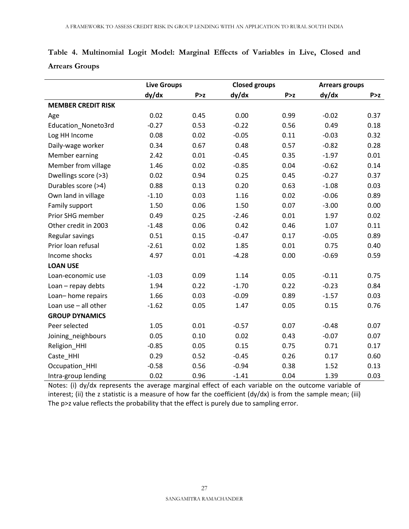|                           | <b>Live Groups</b> |       | <b>Closed groups</b> |       | <b>Arrears groups</b> |       |
|---------------------------|--------------------|-------|----------------------|-------|-----------------------|-------|
|                           | dy/dx              | P > z | dy/dx                | P > z | dy/dx                 | P > z |
| <b>MEMBER CREDIT RISK</b> |                    |       |                      |       |                       |       |
| Age                       | 0.02               | 0.45  | 0.00                 | 0.99  | $-0.02$               | 0.37  |
| Education_Noneto3rd       | $-0.27$            | 0.53  | $-0.22$              | 0.56  | 0.49                  | 0.18  |
| Log HH Income             | 0.08               | 0.02  | $-0.05$              | 0.11  | $-0.03$               | 0.32  |
| Daily-wage worker         | 0.34               | 0.67  | 0.48                 | 0.57  | $-0.82$               | 0.28  |
| Member earning            | 2.42               | 0.01  | $-0.45$              | 0.35  | $-1.97$               | 0.01  |
| Member from village       | 1.46               | 0.02  | $-0.85$              | 0.04  | $-0.62$               | 0.14  |
| Dwellings score (>3)      | 0.02               | 0.94  | 0.25                 | 0.45  | $-0.27$               | 0.37  |
| Durables score (>4)       | 0.88               | 0.13  | 0.20                 | 0.63  | $-1.08$               | 0.03  |
| Own land in village       | $-1.10$            | 0.03  | 1.16                 | 0.02  | $-0.06$               | 0.89  |
| Family support            | 1.50               | 0.06  | 1.50                 | 0.07  | $-3.00$               | 0.00  |
| Prior SHG member          | 0.49               | 0.25  | $-2.46$              | 0.01  | 1.97                  | 0.02  |
| Other credit in 2003      | $-1.48$            | 0.06  | 0.42                 | 0.46  | 1.07                  | 0.11  |
| Regular savings           | 0.51               | 0.15  | $-0.47$              | 0.17  | $-0.05$               | 0.89  |
| Prior loan refusal        | $-2.61$            | 0.02  | 1.85                 | 0.01  | 0.75                  | 0.40  |
| Income shocks             | 4.97               | 0.01  | $-4.28$              | 0.00  | $-0.69$               | 0.59  |
| <b>LOAN USE</b>           |                    |       |                      |       |                       |       |
| Loan-economic use         | $-1.03$            | 0.09  | 1.14                 | 0.05  | $-0.11$               | 0.75  |
| Loan - repay debts        | 1.94               | 0.22  | $-1.70$              | 0.22  | $-0.23$               | 0.84  |
| Loan-home repairs         | 1.66               | 0.03  | $-0.09$              | 0.89  | $-1.57$               | 0.03  |
| Loan use $-$ all other    | $-1.62$            | 0.05  | 1.47                 | 0.05  | 0.15                  | 0.76  |
| <b>GROUP DYNAMICS</b>     |                    |       |                      |       |                       |       |
| Peer selected             | 1.05               | 0.01  | $-0.57$              | 0.07  | $-0.48$               | 0.07  |
| Joining_neighbours        | 0.05               | 0.10  | 0.02                 | 0.43  | $-0.07$               | 0.07  |
| Religion_HHI              | $-0.85$            | 0.05  | 0.15                 | 0.75  | 0.71                  | 0.17  |
| Caste_HHI                 | 0.29               | 0.52  | $-0.45$              | 0.26  | 0.17                  | 0.60  |
| Occupation HHI            | $-0.58$            | 0.56  | $-0.94$              | 0.38  | 1.52                  | 0.13  |
| Intra-group lending       | 0.02               | 0.96  | $-1.41$              | 0.04  | 1.39                  | 0.03  |

# **Table 4. Multinomial Logit Model: Marginal Effects of Variables in Live, Closed and Arrears Groups**

Notes: (i) dy/dx represents the average marginal effect of each variable on the outcome variable of interest; (ii) the z statistic is a measure of how far the coefficient (dy/dx) is from the sample mean; (iii) The p>z value reflects the probability that the effect is purely due to sampling error.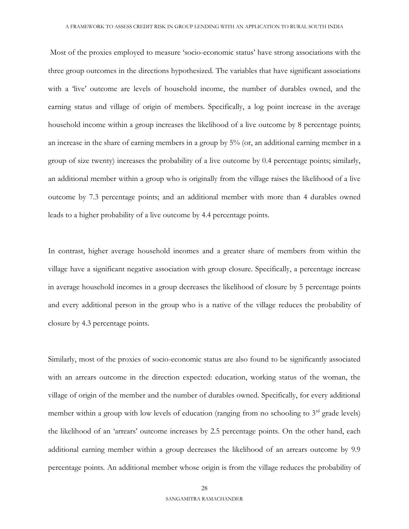Most of the proxies employed to measure 'socio-economic status' have strong associations with the three group outcomes in the directions hypothesized. The variables that have significant associations with a 'live' outcome are levels of household income, the number of durables owned, and the earning status and village of origin of members. Specifically, a log point increase in the average household income within a group increases the likelihood of a live outcome by 8 percentage points; an increase in the share of earning members in a group by 5% (or, an additional earning member in a group of size twenty) increases the probability of a live outcome by 0.4 percentage points; similarly, an additional member within a group who is originally from the village raises the likelihood of a live outcome by 7.3 percentage points; and an additional member with more than 4 durables owned leads to a higher probability of a live outcome by 4.4 percentage points.

In contrast, higher average household incomes and a greater share of members from within the village have a significant negative association with group closure. Specifically, a percentage increase in average household incomes in a group decreases the likelihood of closure by 5 percentage points and every additional person in the group who is a native of the village reduces the probability of closure by 4.3 percentage points.

Similarly, most of the proxies of socio-economic status are also found to be significantly associated with an arrears outcome in the direction expected: education, working status of the woman, the village of origin of the member and the number of durables owned. Specifically, for every additional member within a group with low levels of education (ranging from no schooling to  $3<sup>rd</sup>$  grade levels) the likelihood of an 'arrears' outcome increases by 2.5 percentage points. On the other hand, each additional earning member within a group decreases the likelihood of an arrears outcome by 9.9 percentage points. An additional member whose origin is from the village reduces the probability of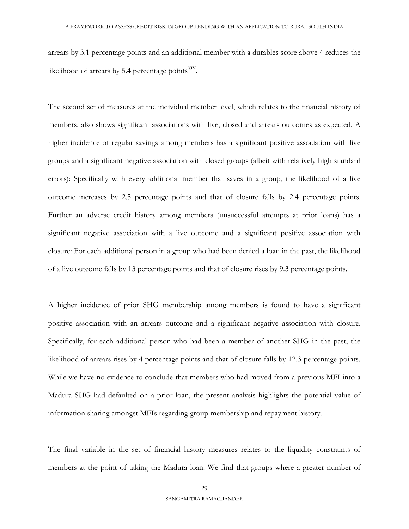arrears by 3.1 percentage points and an additional member with a durables score above 4 reduces the likelihood of arrears by 5.4 percentage points $XIV$ .

The second set of measures at the individual member level, which relates to the financial history of members, also shows significant associations with live, closed and arrears outcomes as expected. A higher incidence of regular savings among members has a significant positive association with live groups and a significant negative association with closed groups (albeit with relatively high standard errors): Specifically with every additional member that saves in a group, the likelihood of a live outcome increases by 2.5 percentage points and that of closure falls by 2.4 percentage points. Further an adverse credit history among members (unsuccessful attempts at prior loans) has a significant negative association with a live outcome and a significant positive association with closure: For each additional person in a group who had been denied a loan in the past, the likelihood of a live outcome falls by 13 percentage points and that of closure rises by 9.3 percentage points.

A higher incidence of prior SHG membership among members is found to have a significant positive association with an arrears outcome and a significant negative association with closure. Specifically, for each additional person who had been a member of another SHG in the past, the likelihood of arrears rises by 4 percentage points and that of closure falls by 12.3 percentage points. While we have no evidence to conclude that members who had moved from a previous MFI into a Madura SHG had defaulted on a prior loan, the present analysis highlights the potential value of information sharing amongst MFIs regarding group membership and repayment history.

The final variable in the set of financial history measures relates to the liquidity constraints of members at the point of taking the Madura loan. We find that groups where a greater number of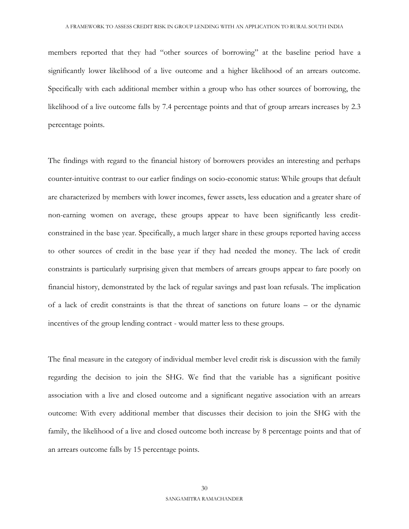members reported that they had "other sources of borrowing" at the baseline period have a significantly lower likelihood of a live outcome and a higher likelihood of an arrears outcome. Specifically with each additional member within a group who has other sources of borrowing, the likelihood of a live outcome falls by 7.4 percentage points and that of group arrears increases by 2.3 percentage points.

The findings with regard to the financial history of borrowers provides an interesting and perhaps counter-intuitive contrast to our earlier findings on socio-economic status: While groups that default are characterized by members with lower incomes, fewer assets, less education and a greater share of non-earning women on average, these groups appear to have been significantly less creditconstrained in the base year. Specifically, a much larger share in these groups reported having access to other sources of credit in the base year if they had needed the money. The lack of credit constraints is particularly surprising given that members of arrears groups appear to fare poorly on financial history, demonstrated by the lack of regular savings and past loan refusals. The implication of a lack of credit constraints is that the threat of sanctions on future loans – or the dynamic incentives of the group lending contract - would matter less to these groups.

The final measure in the category of individual member level credit risk is discussion with the family regarding the decision to join the SHG. We find that the variable has a significant positive association with a live and closed outcome and a significant negative association with an arrears outcome: With every additional member that discusses their decision to join the SHG with the family, the likelihood of a live and closed outcome both increase by 8 percentage points and that of an arrears outcome falls by 15 percentage points.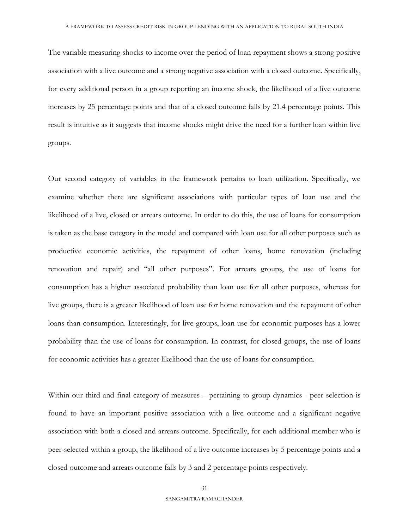The variable measuring shocks to income over the period of loan repayment shows a strong positive association with a live outcome and a strong negative association with a closed outcome. Specifically, for every additional person in a group reporting an income shock, the likelihood of a live outcome increases by 25 percentage points and that of a closed outcome falls by 21.4 percentage points. This result is intuitive as it suggests that income shocks might drive the need for a further loan within live groups.

Our second category of variables in the framework pertains to loan utilization. Specifically, we examine whether there are significant associations with particular types of loan use and the likelihood of a live, closed or arrears outcome. In order to do this, the use of loans for consumption is taken as the base category in the model and compared with loan use for all other purposes such as productive economic activities, the repayment of other loans, home renovation (including renovation and repair) and "all other purposes". For arrears groups, the use of loans for consumption has a higher associated probability than loan use for all other purposes, whereas for live groups, there is a greater likelihood of loan use for home renovation and the repayment of other loans than consumption. Interestingly, for live groups, loan use for economic purposes has a lower probability than the use of loans for consumption. In contrast, for closed groups, the use of loans for economic activities has a greater likelihood than the use of loans for consumption.

Within our third and final category of measures – pertaining to group dynamics - peer selection is found to have an important positive association with a live outcome and a significant negative association with both a closed and arrears outcome. Specifically, for each additional member who is peer-selected within a group, the likelihood of a live outcome increases by 5 percentage points and a closed outcome and arrears outcome falls by 3 and 2 percentage points respectively.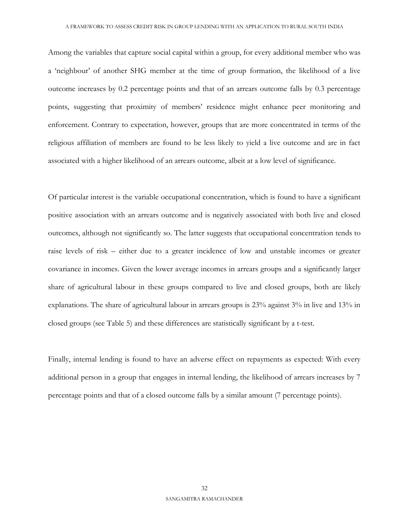Among the variables that capture social capital within a group, for every additional member who was a 'neighbour' of another SHG member at the time of group formation, the likelihood of a live outcome increases by 0.2 percentage points and that of an arrears outcome falls by 0.3 percentage points, suggesting that proximity of members' residence might enhance peer monitoring and enforcement. Contrary to expectation, however, groups that are more concentrated in terms of the religious affiliation of members are found to be less likely to yield a live outcome and are in fact associated with a higher likelihood of an arrears outcome, albeit at a low level of significance.

Of particular interest is the variable occupational concentration, which is found to have a significant positive association with an arrears outcome and is negatively associated with both live and closed outcomes, although not significantly so. The latter suggests that occupational concentration tends to raise levels of risk – either due to a greater incidence of low and unstable incomes or greater covariance in incomes. Given the lower average incomes in arrears groups and a significantly larger share of agricultural labour in these groups compared to live and closed groups, both are likely explanations. The share of agricultural labour in arrears groups is 23% against 3% in live and 13% in closed groups (see Table 5) and these differences are statistically significant by a t-test.

Finally, internal lending is found to have an adverse effect on repayments as expected: With every additional person in a group that engages in internal lending, the likelihood of arrears increases by 7 percentage points and that of a closed outcome falls by a similar amount (7 percentage points).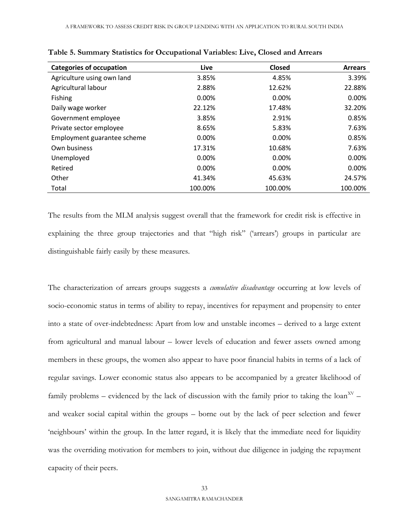| <b>Categories of occupation</b> | Live    | <b>Closed</b> | <b>Arrears</b> |
|---------------------------------|---------|---------------|----------------|
| Agriculture using own land      | 3.85%   | 4.85%         | 3.39%          |
| Agricultural labour             | 2.88%   | 12.62%        | 22.88%         |
| <b>Fishing</b>                  | 0.00%   | 0.00%         | 0.00%          |
| Daily wage worker               | 22.12%  | 17.48%        | 32.20%         |
| Government employee             | 3.85%   | 2.91%         | 0.85%          |
| Private sector employee         | 8.65%   | 5.83%         | 7.63%          |
| Employment guarantee scheme     | 0.00%   | 0.00%         | 0.85%          |
| Own business                    | 17.31%  | 10.68%        | 7.63%          |
| Unemployed                      | 0.00%   | 0.00%         | 0.00%          |
| Retired                         | 0.00%   | 0.00%         | 0.00%          |
| Other                           | 41.34%  | 45.63%        | 24.57%         |
| Total                           | 100.00% | 100.00%       | 100.00%        |

**Table 5. Summary Statistics for Occupational Variables: Live, Closed and Arrears** 

The results from the MLM analysis suggest overall that the framework for credit risk is effective in explaining the three group trajectories and that "high risk" ('arrears') groups in particular are distinguishable fairly easily by these measures.

The characterization of arrears groups suggests a *cumulative disadvantage* occurring at low levels of socio-economic status in terms of ability to repay, incentives for repayment and propensity to enter into a state of over-indebtedness: Apart from low and unstable incomes – derived to a large extent from agricultural and manual labour – lower levels of education and fewer assets owned among members in these groups, the women also appear to have poor financial habits in terms of a lack of regular savings. Lower economic status also appears to be accompanied by a greater likelihood of family problems – evidenced by the lack of discussion with the family prior to taking the loan<sup>XV</sup> – and weaker social capital within the groups – borne out by the lack of peer selection and fewer 'neighbours' within the group. In the latter regard, it is likely that the immediate need for liquidity was the overriding motivation for members to join, without due diligence in judging the repayment capacity of their peers.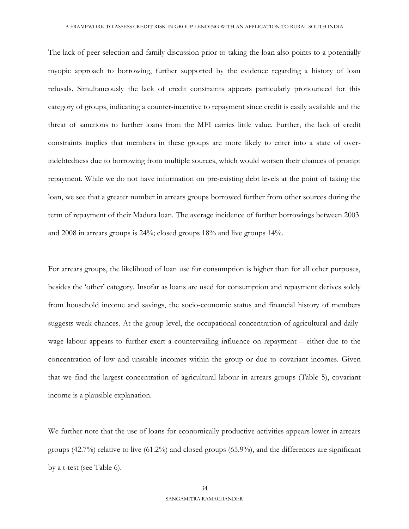The lack of peer selection and family discussion prior to taking the loan also points to a potentially myopic approach to borrowing, further supported by the evidence regarding a history of loan refusals. Simultaneously the lack of credit constraints appears particularly pronounced for this category of groups, indicating a counter-incentive to repayment since credit is easily available and the threat of sanctions to further loans from the MFI carries little value. Further, the lack of credit constraints implies that members in these groups are more likely to enter into a state of overindebtedness due to borrowing from multiple sources, which would worsen their chances of prompt repayment. While we do not have information on pre-existing debt levels at the point of taking the loan, we see that a greater number in arrears groups borrowed further from other sources during the term of repayment of their Madura loan. The average incidence of further borrowings between 2003 and 2008 in arrears groups is 24%; closed groups 18% and live groups 14%.

For arrears groups, the likelihood of loan use for consumption is higher than for all other purposes, besides the 'other' category. Insofar as loans are used for consumption and repayment derives solely from household income and savings, the socio-economic status and financial history of members suggests weak chances. At the group level, the occupational concentration of agricultural and dailywage labour appears to further exert a countervailing influence on repayment – either due to the concentration of low and unstable incomes within the group or due to covariant incomes. Given that we find the largest concentration of agricultural labour in arrears groups (Table 5), covariant income is a plausible explanation.

We further note that the use of loans for economically productive activities appears lower in arrears groups (42.7%) relative to live (61.2%) and closed groups (65.9%), and the differences are significant by a t-test (see Table 6).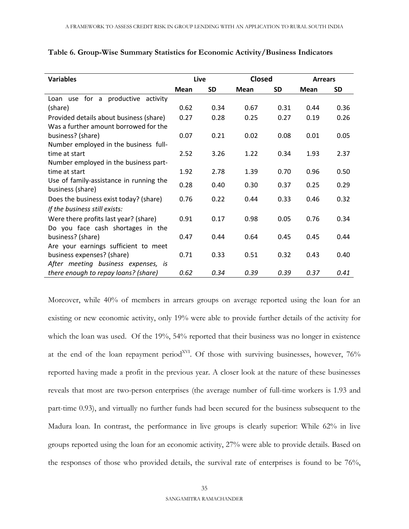| <b>Variables</b>                        |      | Live      | <b>Closed</b> |      | <b>Arrears</b> |      |
|-----------------------------------------|------|-----------|---------------|------|----------------|------|
|                                         | Mean | <b>SD</b> | Mean          | SD   | Mean           | SD   |
| Loan use for a productive activity      |      |           |               |      |                |      |
| (share)                                 | 0.62 | 0.34      | 0.67          | 0.31 | 0.44           | 0.36 |
| Provided details about business (share) | 0.27 | 0.28      | 0.25          | 0.27 | 0.19           | 0.26 |
| Was a further amount borrowed for the   |      |           |               |      |                |      |
| business? (share)                       | 0.07 | 0.21      | 0.02          | 0.08 | 0.01           | 0.05 |
| Number employed in the business full-   |      |           |               |      |                |      |
| time at start                           | 2.52 | 3.26      | 1.22          | 0.34 | 1.93           | 2.37 |
| Number employed in the business part-   |      |           |               |      |                |      |
| time at start                           | 1.92 | 2.78      | 1.39          | 0.70 | 0.96           | 0.50 |
| Use of family-assistance in running the | 0.28 | 0.40      | 0.30          | 0.37 | 0.25           | 0.29 |
| business (share)                        |      |           |               |      |                |      |
| Does the business exist today? (share)  | 0.76 | 0.22      | 0.44          | 0.33 | 0.46           | 0.32 |
| If the business still exists:           |      |           |               |      |                |      |
| Were there profits last year? (share)   | 0.91 | 0.17      | 0.98          | 0.05 | 0.76           | 0.34 |
| Do you face cash shortages in the       |      |           |               |      |                |      |
| business? (share)                       | 0.47 | 0.44      | 0.64          | 0.45 | 0.45           | 0.44 |
| Are your earnings sufficient to meet    |      |           |               |      |                |      |
| business expenses? (share)              | 0.71 | 0.33      | 0.51          | 0.32 | 0.43           | 0.40 |
| After meeting business expenses, is     |      |           |               |      |                |      |
| there enough to repay loans? (share)    | 0.62 | 0.34      | 0.39          | 0.39 | 0.37           | 0.41 |

**Table 6. Group-Wise Summary Statistics for Economic Activity/Business Indicators**

Moreover, while 40% of members in arrears groups on average reported using the loan for an existing or new economic activity, only 19% were able to provide further details of the activity for which the loan was used. Of the 19%, 54% reported that their business was no longer in existence at the end of the loan repayment period<sup>XVI</sup>. Of those with surviving businesses, however,  $76\%$ reported having made a profit in the previous year. A closer look at the nature of these businesses reveals that most are two-person enterprises (the average number of full-time workers is 1.93 and part-time 0.93), and virtually no further funds had been secured for the business subsequent to the Madura loan. In contrast, the performance in live groups is clearly superior: While 62% in live groups reported using the loan for an economic activity, 27% were able to provide details. Based on the responses of those who provided details, the survival rate of enterprises is found to be 76%,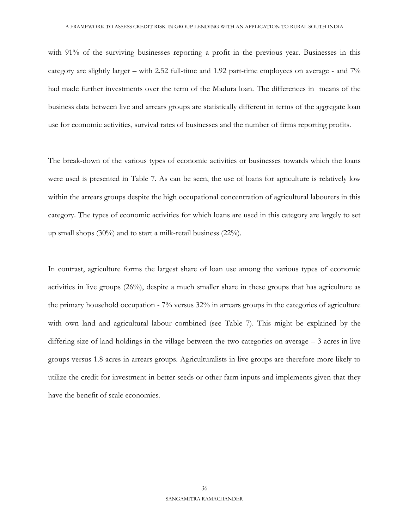with 91% of the surviving businesses reporting a profit in the previous year. Businesses in this category are slightly larger – with 2.52 full-time and 1.92 part-time employees on average - and 7% had made further investments over the term of the Madura loan. The differences in means of the business data between live and arrears groups are statistically different in terms of the aggregate loan use for economic activities, survival rates of businesses and the number of firms reporting profits.

The break-down of the various types of economic activities or businesses towards which the loans were used is presented in Table 7. As can be seen, the use of loans for agriculture is relatively low within the arrears groups despite the high occupational concentration of agricultural labourers in this category. The types of economic activities for which loans are used in this category are largely to set up small shops (30%) and to start a milk-retail business (22%).

In contrast, agriculture forms the largest share of loan use among the various types of economic activities in live groups (26%), despite a much smaller share in these groups that has agriculture as the primary household occupation - 7% versus 32% in arrears groups in the categories of agriculture with own land and agricultural labour combined (see Table 7). This might be explained by the differing size of land holdings in the village between the two categories on average – 3 acres in live groups versus 1.8 acres in arrears groups. Agriculturalists in live groups are therefore more likely to utilize the credit for investment in better seeds or other farm inputs and implements given that they have the benefit of scale economies.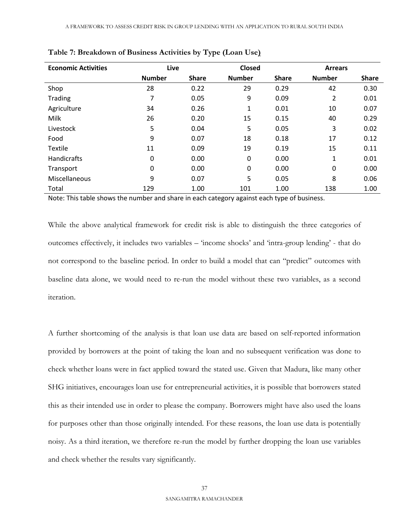| <b>Economic Activities</b> | Live          |              | Closed        |              | <b>Arrears</b> |              |  |
|----------------------------|---------------|--------------|---------------|--------------|----------------|--------------|--|
|                            | <b>Number</b> | <b>Share</b> | <b>Number</b> | <b>Share</b> | <b>Number</b>  | <b>Share</b> |  |
| Shop                       | 28            | 0.22         | 29            | 0.29         | 42             | 0.30         |  |
| <b>Trading</b>             | 7             | 0.05         | 9             | 0.09         | 2              | 0.01         |  |
| Agriculture                | 34            | 0.26         | 1             | 0.01         | 10             | 0.07         |  |
| Milk                       | 26            | 0.20         | 15            | 0.15         | 40             | 0.29         |  |
| Livestock                  | 5             | 0.04         | 5             | 0.05         | 3              | 0.02         |  |
| Food                       | 9             | 0.07         | 18            | 0.18         | 17             | 0.12         |  |
| <b>Textile</b>             | 11            | 0.09         | 19            | 0.19         | 15             | 0.11         |  |
| Handicrafts                | 0             | 0.00         | 0             | 0.00         | 1              | 0.01         |  |
| Transport                  | 0             | 0.00         | $\mathbf 0$   | 0.00         | 0              | 0.00         |  |
| Miscellaneous              | 9             | 0.07         | 5             | 0.05         | 8              | 0.06         |  |
| Total                      | 129           | 1.00         | 101           | 1.00         | 138            | 1.00         |  |

**Table 7: Breakdown of Business Activities by Type (Loan Use)**

Note: This table shows the number and share in each category against each type of business.

While the above analytical framework for credit risk is able to distinguish the three categories of outcomes effectively, it includes two variables – 'income shocks' and 'intra-group lending' - that do not correspond to the baseline period. In order to build a model that can "predict" outcomes with baseline data alone, we would need to re-run the model without these two variables, as a second iteration.

A further shortcoming of the analysis is that loan use data are based on self-reported information provided by borrowers at the point of taking the loan and no subsequent verification was done to check whether loans were in fact applied toward the stated use. Given that Madura, like many other SHG initiatives, encourages loan use for entrepreneurial activities, it is possible that borrowers stated this as their intended use in order to please the company. Borrowers might have also used the loans for purposes other than those originally intended. For these reasons, the loan use data is potentially noisy. As a third iteration, we therefore re-run the model by further dropping the loan use variables and check whether the results vary significantly.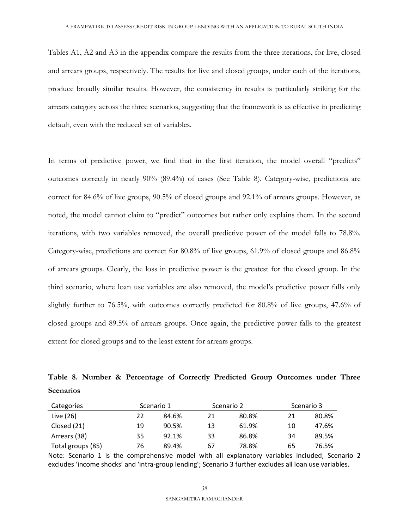Tables A1, A2 and A3 in the appendix compare the results from the three iterations, for live, closed and arrears groups, respectively. The results for live and closed groups, under each of the iterations, produce broadly similar results. However, the consistency in results is particularly striking for the arrears category across the three scenarios, suggesting that the framework is as effective in predicting default, even with the reduced set of variables.

In terms of predictive power, we find that in the first iteration, the model overall "predicts" outcomes correctly in nearly 90% (89.4%) of cases (See Table 8). Category-wise, predictions are correct for 84.6% of live groups, 90.5% of closed groups and 92.1% of arrears groups. However, as noted, the model cannot claim to "predict" outcomes but rather only explains them. In the second iterations, with two variables removed, the overall predictive power of the model falls to 78.8%. Category-wise, predictions are correct for 80.8% of live groups, 61.9% of closed groups and 86.8% of arrears groups. Clearly, the loss in predictive power is the greatest for the closed group. In the third scenario, where loan use variables are also removed, the model's predictive power falls only slightly further to 76.5%, with outcomes correctly predicted for 80.8% of live groups, 47.6% of closed groups and 89.5% of arrears groups. Once again, the predictive power falls to the greatest extent for closed groups and to the least extent for arrears groups.

**Table 8. Number & Percentage of Correctly Predicted Group Outcomes under Three Scenarios** 

| Categories        |    | Scenario 1 |    | Scenario 2 |    | Scenario 3 |
|-------------------|----|------------|----|------------|----|------------|
| Live (26)         | 22 | 84.6%      | 21 | 80.8%      | 21 | 80.8%      |
| Closed (21)       | 19 | 90.5%      | 13 | 61.9%      | 10 | 47.6%      |
| Arrears (38)      | 35 | 92.1%      | 33 | 86.8%      | 34 | 89.5%      |
| Total groups (85) | 76 | 89.4%      | 67 | 78.8%      | 65 | 76.5%      |

Note: Scenario 1 is the comprehensive model with all explanatory variables included; Scenario 2 excludes 'income shocks' and 'intra-group lending'; Scenario 3 further excludes all loan use variables.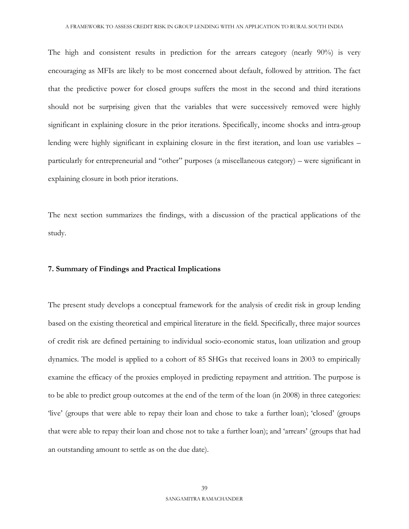The high and consistent results in prediction for the arrears category (nearly 90%) is very encouraging as MFIs are likely to be most concerned about default, followed by attrition. The fact that the predictive power for closed groups suffers the most in the second and third iterations should not be surprising given that the variables that were successively removed were highly significant in explaining closure in the prior iterations. Specifically, income shocks and intra-group lending were highly significant in explaining closure in the first iteration, and loan use variables – particularly for entrepreneurial and "other" purposes (a miscellaneous category) – were significant in explaining closure in both prior iterations.

The next section summarizes the findings, with a discussion of the practical applications of the study.

#### **7. Summary of Findings and Practical Implications**

The present study develops a conceptual framework for the analysis of credit risk in group lending based on the existing theoretical and empirical literature in the field. Specifically, three major sources of credit risk are defined pertaining to individual socio-economic status, loan utilization and group dynamics. The model is applied to a cohort of 85 SHGs that received loans in 2003 to empirically examine the efficacy of the proxies employed in predicting repayment and attrition. The purpose is to be able to predict group outcomes at the end of the term of the loan (in 2008) in three categories: 'live' (groups that were able to repay their loan and chose to take a further loan); 'closed' (groups that were able to repay their loan and chose not to take a further loan); and 'arrears' (groups that had an outstanding amount to settle as on the due date).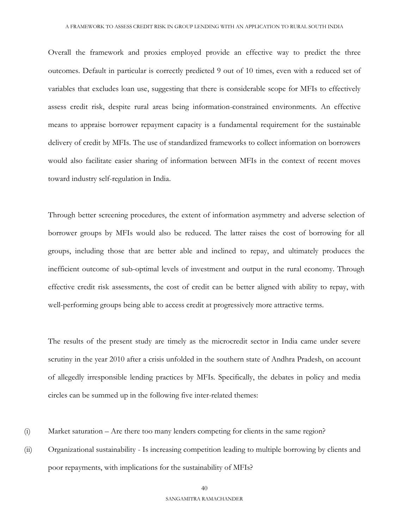Overall the framework and proxies employed provide an effective way to predict the three outcomes. Default in particular is correctly predicted 9 out of 10 times, even with a reduced set of variables that excludes loan use, suggesting that there is considerable scope for MFIs to effectively assess credit risk, despite rural areas being information-constrained environments. An effective means to appraise borrower repayment capacity is a fundamental requirement for the sustainable delivery of credit by MFIs. The use of standardized frameworks to collect information on borrowers would also facilitate easier sharing of information between MFIs in the context of recent moves toward industry self-regulation in India.

Through better screening procedures, the extent of information asymmetry and adverse selection of borrower groups by MFIs would also be reduced. The latter raises the cost of borrowing for all groups, including those that are better able and inclined to repay, and ultimately produces the inefficient outcome of sub-optimal levels of investment and output in the rural economy. Through effective credit risk assessments, the cost of credit can be better aligned with ability to repay, with well-performing groups being able to access credit at progressively more attractive terms.

The results of the present study are timely as the microcredit sector in India came under severe scrutiny in the year 2010 after a crisis unfolded in the southern state of Andhra Pradesh, on account of allegedly irresponsible lending practices by MFIs. Specifically, the debates in policy and media circles can be summed up in the following five inter-related themes:

- (i) Market saturation Are there too many lenders competing for clients in the same region?
- (ii) Organizational sustainability Is increasing competition leading to multiple borrowing by clients and poor repayments, with implications for the sustainability of MFIs?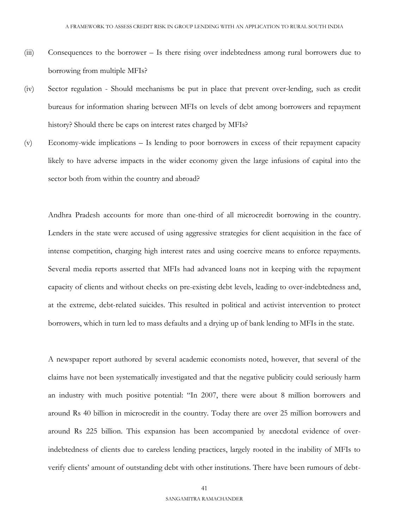- (iii) Consequences to the borrower Is there rising over indebtedness among rural borrowers due to borrowing from multiple MFIs?
- (iv) Sector regulation Should mechanisms be put in place that prevent over-lending, such as credit bureaus for information sharing between MFIs on levels of debt among borrowers and repayment history? Should there be caps on interest rates charged by MFIs?
- (v) Economy-wide implications Is lending to poor borrowers in excess of their repayment capacity likely to have adverse impacts in the wider economy given the large infusions of capital into the sector both from within the country and abroad?

Andhra Pradesh accounts for more than one-third of all microcredit borrowing in the country. Lenders in the state were accused of using aggressive strategies for client acquisition in the face of intense competition, charging high interest rates and using coercive means to enforce repayments. Several media reports asserted that MFIs had advanced loans not in keeping with the repayment capacity of clients and without checks on pre-existing debt levels, leading to over-indebtedness and, at the extreme, debt-related suicides. This resulted in political and activist intervention to protect borrowers, which in turn led to mass defaults and a drying up of bank lending to MFIs in the state.

A newspaper report authored by several academic economists noted, however, that several of the claims have not been systematically investigated and that the negative publicity could seriously harm an industry with much positive potential: "In 2007, there were about 8 million borrowers and around Rs 40 billion in microcredit in the country. Today there are over 25 million borrowers and around Rs 225 billion. This expansion has been accompanied by anecdotal evidence of overindebtedness of clients due to careless lending practices, largely rooted in the inability of MFIs to verify clients' amount of outstanding debt with other institutions. There have been rumours of debt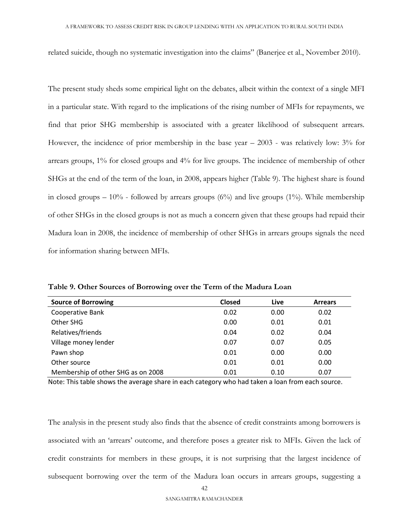related suicide, though no systematic investigation into the claims" (Banerjee et al., November 2010).

The present study sheds some empirical light on the debates, albeit within the context of a single MFI in a particular state. With regard to the implications of the rising number of MFIs for repayments, we find that prior SHG membership is associated with a greater likelihood of subsequent arrears. However, the incidence of prior membership in the base year – 2003 - was relatively low: 3% for arrears groups, 1% for closed groups and 4% for live groups. The incidence of membership of other SHGs at the end of the term of the loan, in 2008, appears higher (Table 9). The highest share is found in closed groups –  $10\%$  - followed by arrears groups (6%) and live groups (1%). While membership of other SHGs in the closed groups is not as much a concern given that these groups had repaid their Madura loan in 2008, the incidence of membership of other SHGs in arrears groups signals the need for information sharing between MFIs.

| <b>Source of Borrowing</b>         | <b>Closed</b> | Live | <b>Arrears</b> |
|------------------------------------|---------------|------|----------------|
| Cooperative Bank                   | 0.02          | 0.00 | 0.02           |
| Other SHG                          | 0.00          | 0.01 | 0.01           |
| Relatives/friends                  | 0.04          | 0.02 | 0.04           |
| Village money lender               | 0.07          | 0.07 | 0.05           |
| Pawn shop                          | 0.01          | 0.00 | 0.00           |
| Other source                       | 0.01          | 0.01 | 0.00           |
| Membership of other SHG as on 2008 | 0.01          | 0.10 | 0.07           |

**Table 9. Other Sources of Borrowing over the Term of the Madura Loan**

Note: This table shows the average share in each category who had taken a loan from each source.

The analysis in the present study also finds that the absence of credit constraints among borrowers is associated with an 'arrears' outcome, and therefore poses a greater risk to MFIs. Given the lack of credit constraints for members in these groups, it is not surprising that the largest incidence of subsequent borrowing over the term of the Madura loan occurs in arrears groups, suggesting a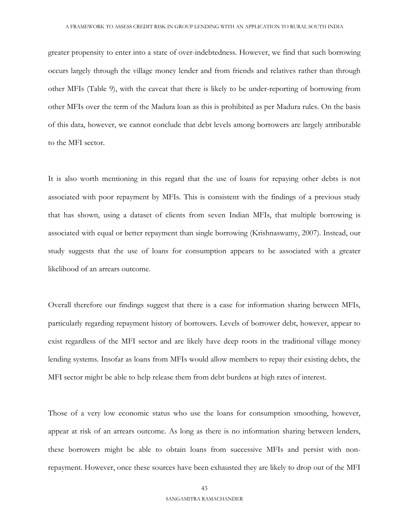greater propensity to enter into a state of over-indebtedness. However, we find that such borrowing occurs largely through the village money lender and from friends and relatives rather than through other MFIs (Table 9), with the caveat that there is likely to be under-reporting of borrowing from other MFIs over the term of the Madura loan as this is prohibited as per Madura rules. On the basis of this data, however, we cannot conclude that debt levels among borrowers are largely attributable to the MFI sector.

It is also worth mentioning in this regard that the use of loans for repaying other debts is not associated with poor repayment by MFIs. This is consistent with the findings of a previous study that has shown, using a dataset of clients from seven Indian MFIs, that multiple borrowing is associated with equal or better repayment than single borrowing (Krishnaswamy, 2007). Instead, our study suggests that the use of loans for consumption appears to be associated with a greater likelihood of an arrears outcome.

Overall therefore our findings suggest that there is a case for information sharing between MFIs, particularly regarding repayment history of borrowers. Levels of borrower debt, however, appear to exist regardless of the MFI sector and are likely have deep roots in the traditional village money lending systems. Insofar as loans from MFIs would allow members to repay their existing debts, the MFI sector might be able to help release them from debt burdens at high rates of interest.

Those of a very low economic status who use the loans for consumption smoothing, however, appear at risk of an arrears outcome. As long as there is no information sharing between lenders, these borrowers might be able to obtain loans from successive MFIs and persist with nonrepayment. However, once these sources have been exhausted they are likely to drop out of the MFI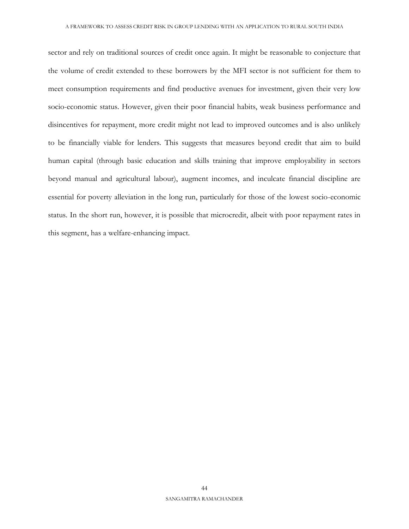sector and rely on traditional sources of credit once again. It might be reasonable to conjecture that the volume of credit extended to these borrowers by the MFI sector is not sufficient for them to meet consumption requirements and find productive avenues for investment, given their very low socio-economic status. However, given their poor financial habits, weak business performance and disincentives for repayment, more credit might not lead to improved outcomes and is also unlikely to be financially viable for lenders. This suggests that measures beyond credit that aim to build human capital (through basic education and skills training that improve employability in sectors beyond manual and agricultural labour), augment incomes, and inculcate financial discipline are essential for poverty alleviation in the long run, particularly for those of the lowest socio-economic status. In the short run, however, it is possible that microcredit, albeit with poor repayment rates in this segment, has a welfare-enhancing impact.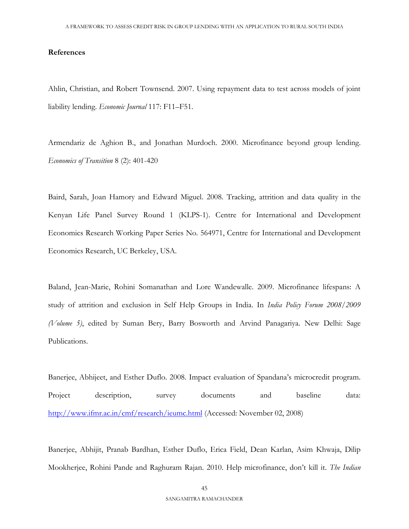#### **References**

Ahlin, Christian, and Robert Townsend. 2007. Using repayment data to test across models of joint liability lending. *Economic Journal* 117: F11–F51.

Armendariz de Aghion B., and Jonathan Murdoch. 2000. Microfinance beyond group lending. *Economics of Transition* 8 (2): 401-420

Baird, Sarah, Joan Hamory and Edward Miguel. 2008. Tracking, attrition and data quality in the Kenyan Life Panel Survey Round 1 (KLPS-1). Centre for International and Development Economics Research Working Paper Series No. 564971, Centre for International and Development Economics Research, UC Berkeley, USA.

Baland, Jean-Marie, Rohini Somanathan and Lore Wandewalle. 2009. Microfinance lifespans: A study of attrition and exclusion in Self Help Groups in India. In *India Policy Forum 2008/2009 (Volume 5)*, edited by Suman Bery, Barry Bosworth and Arvind Panagariya*.* New Delhi: Sage Publications.

Banerjee, Abhijeet, and Esther Duflo. 2008. Impact evaluation of Spandana's microcredit program. Project description, survey documents and baseline data: <http://www.ifmr.ac.in/cmf/research/ieumc.html> (Accessed: November 02, 2008)

Banerjee, Abhijit, Pranab Bardhan, Esther Duflo, Erica Field, Dean Karlan, Asim Khwaja, Dilip Mookherjee, Rohini Pande and Raghuram Rajan. 2010. Help microfinance, don't kill it*. The Indian*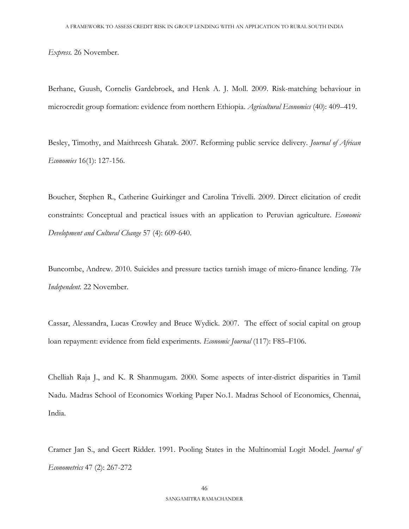*Express.* 26 November.

Berhane, Guush, Cornelis Gardebroek, and Henk A. J. Moll. 2009. Risk-matching behaviour in microcredit group formation: evidence from northern Ethiopia. *Agricultural Economics* (40): 409–419.

Besley, Timothy, and Maithreesh Ghatak. 2007. Reforming public service delivery. *Journal of African Economies* 16(1): 127-156.

Boucher, Stephen R., Catherine Guirkinger and Carolina Trivelli. 2009. Direct elicitation of credit constraints: Conceptual and practical issues with an application to Peruvian agriculture. *Economic Development and Cultural Change* 57 (4): 609-640.

Buncombe, Andrew. 2010. Suicides and pressure tactics tarnish image of micro-finance lending. *The Independent.* 22 November.

Cassar, Alessandra, Lucas Crowley and Bruce Wydick. 2007. The effect of social capital on group loan repayment: evidence from field experiments. *Economic Journal* (117): F85–F106.

Chelliah Raja J., and K. R Shanmugam. 2000. Some aspects of inter-district disparities in Tamil Nadu. Madras School of Economics Working Paper No.1. Madras School of Economics, Chennai, India.

Cramer Jan S., and Geert Ridder. 1991. Pooling States in the Multinomial Logit Model. *Journal of Econometrics* 47 (2): 267-272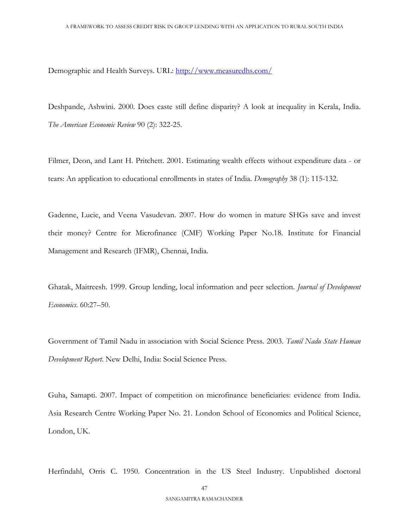Demographic and Health Surveys. URL:<http://www.measuredhs.com/>

Deshpande, Ashwini. 2000. Does caste still define disparity? A look at inequality in Kerala, India. *The American Economic Review* 90 (2): 322-25.

Filmer, Deon, and Lant H. Pritchett. 2001. Estimating wealth effects without expenditure data - or tears: An application to educational enrollments in states of India. *Demography* 38 (1): 115-132.

Gadenne, Lucie, and Veena Vasudevan. 2007. How do women in mature SHGs save and invest their money? Centre for Microfinance (CMF) Working Paper No.18. Institute for Financial Management and Research (IFMR), Chennai, India.

Ghatak, Maitreesh. 1999. Group lending, local information and peer selection. *Journal of Development Economics*. 60:27–50.

Government of Tamil Nadu in association with Social Science Press. 2003. *Tamil Nadu State Human Development Report*. New Delhi, India: Social Science Press.

Guha, Samapti. 2007. Impact of competition on microfinance beneficiaries: evidence from India. Asia Research Centre Working Paper No. 21. London School of Economics and Political Science, London, UK.

Herfindahl, Orris C. 1950. Concentration in the US Steel Industry. Unpublished doctoral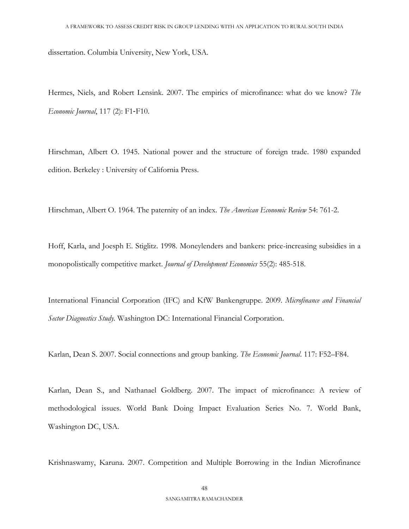dissertation. Columbia University, New York, USA.

Hermes, Niels, and Robert Lensink. 2007. The empirics of microfinance: what do we know? *The Economic Journal*, 117 (2): F1‐F10.

Hirschman, Albert O. 1945. National power and the structure of foreign trade. 1980 expanded edition. Berkeley : University of California Press.

Hirschman, Albert O. 1964. The paternity of an index. *The American Economic Review* 54: 761-2.

Hoff, Karla, and Joesph E. Stiglitz. 1998. Moneylenders and bankers: price-increasing subsidies in a monopolistically competitive market. *Journal of Development Economics* 55(2): 485-518.

International Financial Corporation (IFC) and KfW Bankengruppe. 2009. *Microfinance and Financial Sector Diagnostics Study.* Washington DC: International Financial Corporation.

Karlan, Dean S. 2007. Social connections and group banking. *The Economic Journal*. 117: F52–F84.

Karlan, Dean S., and Nathanael Goldberg. 2007. The impact of microfinance: A review of methodological issues. World Bank Doing Impact Evaluation Series No. 7. World Bank, Washington DC, USA.

Krishnaswamy, Karuna. 2007. Competition and Multiple Borrowing in the Indian Microfinance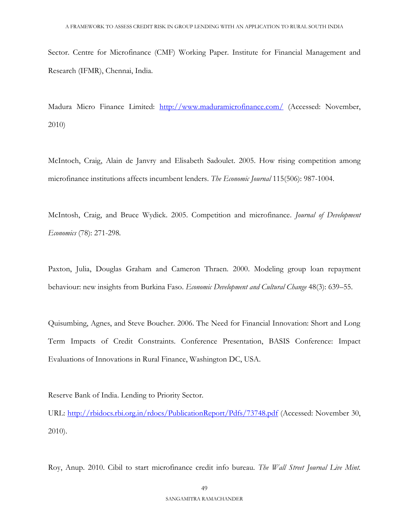Sector. Centre for Microfinance (CMF) Working Paper. Institute for Financial Management and Research (IFMR), Chennai, India.

Madura Micro Finance Limited: <http://www.maduramicrofinance.com/> (Accessed: November, 2010)

McIntoch, Craig, Alain de Janvry and Elisabeth Sadoulet. 2005. How rising competition among microfinance institutions affects incumbent lenders. *The Economic Journal* 115(506): 987-1004.

McIntosh, Craig, and Bruce Wydick. 2005. Competition and microfinance. *Journal of Development Economics* (78): 271-298*.*

Paxton, Julia, Douglas Graham and Cameron Thraen. 2000. Modeling group loan repayment behaviour: new insights from Burkina Faso. *Economic Development and Cultural Change* 48(3): 639–55.

Quisumbing, Agnes, and Steve Boucher. 2006. The Need for Financial Innovation: Short and Long Term Impacts of Credit Constraints. Conference Presentation, BASIS Conference: Impact Evaluations of Innovations in Rural Finance, Washington DC, USA.

Reserve Bank of India. Lending to Priority Sector.

URL:<http://rbidocs.rbi.org.in/rdocs/PublicationReport/Pdfs/73748.pdf> (Accessed: November 30, 2010).

Roy, Anup. 2010. Cibil to start microfinance credit info bureau. *The Wall Street Journal Live Mint.*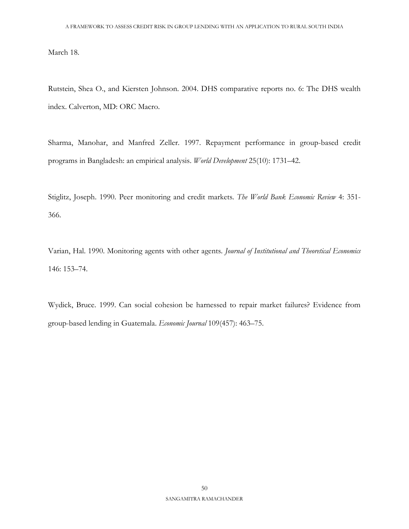March 18.

Rutstein, Shea O., and Kiersten Johnson. 2004. DHS comparative reports no. 6: The DHS wealth index. Calverton, MD: ORC Macro.

Sharma, Manohar, and Manfred Zeller. 1997. Repayment performance in group-based credit programs in Bangladesh: an empirical analysis. *World Development* 25(10): 1731–42.

Stiglitz, Joseph. 1990. Peer monitoring and credit markets. *The World Bank Economic Review* 4: 351- 366.

Varian, Hal. 1990. Monitoring agents with other agents. *Journal of Institutional and Theoretical Economics* 146: 153–74.

Wydick, Bruce. 1999. Can social cohesion be harnessed to repair market failures? Evidence from group-based lending in Guatemala. *Economic Journal* 109(457): 463–75.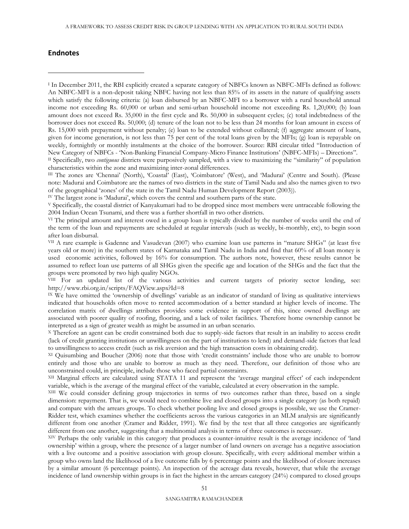#### **Endnotes**

 $\overline{a}$ 

I In December 2011, the RBI explicitly created a separate category of NBFCs known as NBFC-MFIs defined as follows: An NBFC-MFI is a non-deposit taking NBFC having not less than 85% of its assets in the nature of qualifying assets which satisfy the following criteria: (a) loan disbursed by an NBFC-MFI to a borrower with a rural household annual income not exceeding Rs. 60,000 or urban and semi-urban household income not exceeding Rs. 1,20,000; (b) loan amount does not exceed Rs. 35,000 in the first cycle and Rs. 50,000 in subsequent cycles; (c) total indebtedness of the borrower does not exceed Rs. 50,000; (d) tenure of the loan not to be less than 24 months for loan amount in excess of Rs. 15,000 with prepayment without penalty; (e) loan to be extended without collateral; (f) aggregate amount of loans, given for income generation, is not less than 75 per cent of the total loans given by the MFIs; (g) loan is repayable on weekly, fortnightly or monthly instalments at the choice of the borrower. Source: RBI circular titled "Introduction of New Category of NBFCs - 'Non-Banking Financial Company-Micro Finance Institutions' (NBFC-MFIs) – Directions". II Specifically, two *contiguous* districts were purposively sampled, with a view to maximizing the "similarity" of population

characteristics within the zone and maximizing inter-zonal differences.

III The zones are 'Chennai' (North), 'Coastal' (East), 'Coimbatore' (West), and 'Madurai' (Centre and South). (Please note: Madurai and Coimbatore are the names of two districts in the state of Tamil Nadu and also the names given to two of the geographical 'zones' of the state in the Tamil Nadu Human Development Report (2003)).

IV The largest zone is 'Madurai', which covers the central and southern parts of the state.

<sup>V</sup> Specifically, the coastal district of Kanyakumari had to be dropped since most members were untraceable following the 2004 Indian Ocean Tsunami, and there was a further shortfall in two other districts.

VI The principal amount and interest owed in a group loan is typically divided by the number of weeks until the end of the term of the loan and repayments are scheduled at regular intervals (such as weekly, bi-monthly, etc), to begin soon after loan disbursal.

VII A rare example is Gadenne and Vasudevan (2007) who examine loan use patterns in "mature SHGs" (at least five years old or more) in the southern states of Karnataka and Tamil Nadu in India and find that 60% of all loan money is used economic activities, followed by 16% for consumption. The authors note, however, these results cannot be assumed to reflect loan use patterns of all SHGs given the specific age and location of the SHGs and the fact that the groups were promoted by two high quality NGOs.

VIII For an updated list of the various activities and current targets of priority sector lending, see: http://www.rbi.org.in/scripts/FAQView.aspx?Id=8

IX We have omitted the 'ownership of dwellings' variable as an indicator of standard of living as qualitative interviews indicated that households often move to rented accommodation of a better standard at higher levels of income. The correlation matrix of dwellings attributes provides some evidence in support of this, since owned dwellings are associated with poorer quality of roofing, flooring, and a lack of toilet facilities. Therefore home ownership cannot be interpreted as a sign of greater wealth as might be assumed in an urban scenario.

<sup>X</sup> Therefore an agent can be credit constrained both due to supply-side factors that result in an inability to access credit (lack of credit granting institutions or unwillingness on the part of institutions to lend) and demand-side factors that lead to unwillingness to access credit (such as risk aversion and the high transaction costs in obtaining credit).

XI Quisumbing and Boucher (2006) note that those with 'credit constraints' include those who are unable to borrow entirely and those who are unable to borrow as much as they need. Therefore, our definition of those who are unconstrained could, in principle, include those who faced partial constraints.

XII Marginal effects are calculated using STATA 11 and represent the 'average marginal effect' of each independent variable, which is the average of the marginal effect of the variable, calculated at every observation in the sample.

XIII We could consider defining group trajectories in terms of two outcomes rather than three, based on a single dimension: repayment. That is, we would need to combine live and closed groups into a single category (as both repaid) and compare with the arrears groups. To check whether pooling live and closed groups is possible, we use the Cramer-Ridder test, which examines whether the coefficients across the various categories in an MLM analysis are significantly different from one another (Cramer and Ridder, 1991). We find by the test that all three categories are significantly different from one another, suggesting that a multinomial analysis in terms of three outcomes is necessary.

XIV Perhaps the only variable in this category that produces a counter-intuitive result is the average incidence of 'land ownership' within a group, where the presence of a larger number of land owners on average has a negative association with a live outcome and a positive association with group closure. Specifically, with every additional member within a group who owns land the likelihood of a live outcome falls by 6 percentage points and the likelihood of closure increases by a similar amount (6 percentage points). An inspection of the acreage data reveals, however, that while the average incidence of land ownership within groups is in fact the highest in the arrears category (24%) compared to closed groups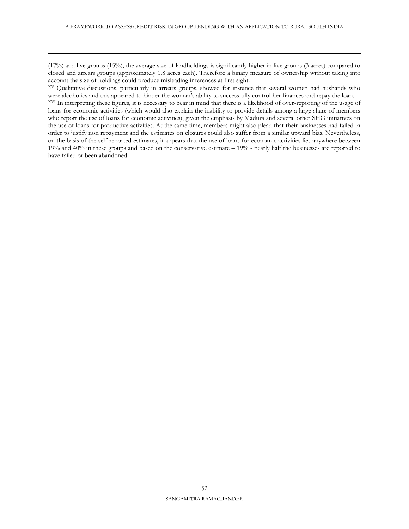(17%) and live groups (15%), the average size of landholdings is significantly higher in live groups (3 acres) compared to closed and arrears groups (approximately 1.8 acres each). Therefore a binary measure of ownership without taking into account the size of holdings could produce misleading inferences at first sight.

 $\overline{a}$ 

XV Qualitative discussions, particularly in arrears groups, showed for instance that several women had husbands who were alcoholics and this appeared to hinder the woman's ability to successfully control her finances and repay the loan. XVI In interpreting these figures, it is necessary to bear in mind that there is a likelihood of over-reporting of the usage of loans for economic activities (which would also explain the inability to provide details among a large share of members who report the use of loans for economic activities), given the emphasis by Madura and several other SHG initiatives on the use of loans for productive activities. At the same time, members might also plead that their businesses had failed in order to justify non repayment and the estimates on closures could also suffer from a similar upward bias. Nevertheless, on the basis of the self-reported estimates, it appears that the use of loans for economic activities lies anywhere between 19% and 40% in these groups and based on the conservative estimate – 19% - nearly half the businesses are reported to have failed or been abandoned.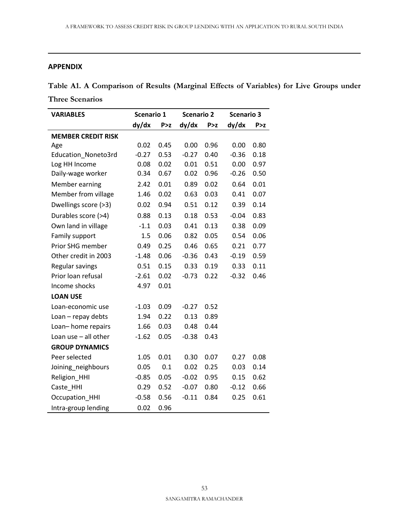# **APPENDIX**

 $\overline{a}$ 

**Table A1. A Comparison of Results (Marginal Effects of Variables) for Live Groups under Three Scenarios**

| <b>VARIABLES</b>          | Scenario 1 |       | <b>Scenario 2</b> |       | <b>Scenario 3</b> |       |
|---------------------------|------------|-------|-------------------|-------|-------------------|-------|
|                           | dy/dx      | P > z | dy/dx             | P > z | dy/dx             | P > z |
| <b>MEMBER CREDIT RISK</b> |            |       |                   |       |                   |       |
| Age                       | 0.02       | 0.45  | 0.00              | 0.96  | 0.00              | 0.80  |
| Education_Noneto3rd       | $-0.27$    | 0.53  | $-0.27$           | 0.40  | $-0.36$           | 0.18  |
| Log HH Income             | 0.08       | 0.02  | 0.01              | 0.51  | 0.00              | 0.97  |
| Daily-wage worker         | 0.34       | 0.67  | 0.02              | 0.96  | $-0.26$           | 0.50  |
| Member earning            | 2.42       | 0.01  | 0.89              | 0.02  | 0.64              | 0.01  |
| Member from village       | 1.46       | 0.02  | 0.63              | 0.03  | 0.41              | 0.07  |
| Dwellings score (>3)      | 0.02       | 0.94  | 0.51              | 0.12  | 0.39              | 0.14  |
| Durables score (>4)       | 0.88       | 0.13  | 0.18              | 0.53  | $-0.04$           | 0.83  |
| Own land in village       | $-1.1$     | 0.03  | 0.41              | 0.13  | 0.38              | 0.09  |
| Family support            | 1.5        | 0.06  | 0.82              | 0.05  | 0.54              | 0.06  |
| Prior SHG member          | 0.49       | 0.25  | 0.46              | 0.65  | 0.21              | 0.77  |
| Other credit in 2003      | $-1.48$    | 0.06  | $-0.36$           | 0.43  | $-0.19$           | 0.59  |
| Regular savings           | 0.51       | 0.15  | 0.33              | 0.19  | 0.33              | 0.11  |
| Prior loan refusal        | $-2.61$    | 0.02  | $-0.73$           | 0.22  | $-0.32$           | 0.46  |
| Income shocks             | 4.97       | 0.01  |                   |       |                   |       |
| <b>LOAN USE</b>           |            |       |                   |       |                   |       |
| Loan-economic use         | $-1.03$    | 0.09  | $-0.27$           | 0.52  |                   |       |
| Loan - repay debts        | 1.94       | 0.22  | 0.13              | 0.89  |                   |       |
| Loan-home repairs         | 1.66       | 0.03  | 0.48              | 0.44  |                   |       |
| Loan use $-$ all other    | $-1.62$    | 0.05  | $-0.38$           | 0.43  |                   |       |
| <b>GROUP DYNAMICS</b>     |            |       |                   |       |                   |       |
| Peer selected             | 1.05       | 0.01  | 0.30              | 0.07  | 0.27              | 0.08  |
| Joining_neighbours        | 0.05       | 0.1   | 0.02              | 0.25  | 0.03              | 0.14  |
| Religion_HHI              | $-0.85$    | 0.05  | $-0.02$           | 0.95  | 0.15              | 0.62  |
| Caste HHI                 | 0.29       | 0.52  | $-0.07$           | 0.80  | $-0.12$           | 0.66  |
| Occupation_HHI            | $-0.58$    | 0.56  | $-0.11$           | 0.84  | 0.25              | 0.61  |
| Intra-group lending       | 0.02       | 0.96  |                   |       |                   |       |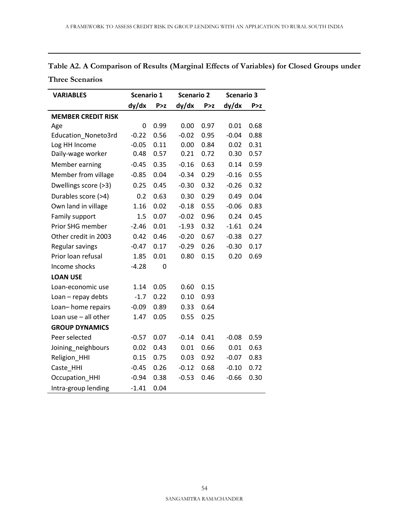| Table A2. A Comparison of Results (Marginal Effects of Variables) for Closed Groups under |  |
|-------------------------------------------------------------------------------------------|--|
| <b>Three Scenarios</b>                                                                    |  |

| <b>VARIABLES</b>          | Scenario 1 |       |         | <b>Scenario 2</b> |         | <b>Scenario 3</b> |
|---------------------------|------------|-------|---------|-------------------|---------|-------------------|
|                           | dy/dx      | P > z | dy/dx   | P > z             | dy/dx   | P > z             |
| <b>MEMBER CREDIT RISK</b> |            |       |         |                   |         |                   |
| Age                       | 0          | 0.99  | 0.00    | 0.97              | 0.01    | 0.68              |
| Education_Noneto3rd       | $-0.22$    | 0.56  | $-0.02$ | 0.95              | $-0.04$ | 0.88              |
| Log HH Income             | $-0.05$    | 0.11  | 0.00    | 0.84              | 0.02    | 0.31              |
| Daily-wage worker         | 0.48       | 0.57  | 0.21    | 0.72              | 0.30    | 0.57              |
| Member earning            | $-0.45$    | 0.35  | $-0.16$ | 0.63              | 0.14    | 0.59              |
| Member from village       | $-0.85$    | 0.04  | $-0.34$ | 0.29              | $-0.16$ | 0.55              |
| Dwellings score (>3)      | 0.25       | 0.45  | $-0.30$ | 0.32              | $-0.26$ | 0.32              |
| Durables score (>4)       | 0.2        | 0.63  | 0.30    | 0.29              | 0.49    | 0.04              |
| Own land in village       | 1.16       | 0.02  | $-0.18$ | 0.55              | $-0.06$ | 0.83              |
| Family support            | 1.5        | 0.07  | $-0.02$ | 0.96              | 0.24    | 0.45              |
| Prior SHG member          | $-2.46$    | 0.01  | $-1.93$ | 0.32              | $-1.61$ | 0.24              |
| Other credit in 2003      | 0.42       | 0.46  | $-0.20$ | 0.67              | $-0.38$ | 0.27              |
| Regular savings           | $-0.47$    | 0.17  | $-0.29$ | 0.26              | $-0.30$ | 0.17              |
| Prior loan refusal        | 1.85       | 0.01  | 0.80    | 0.15              | 0.20    | 0.69              |
| Income shocks             | $-4.28$    | 0     |         |                   |         |                   |
| <b>LOAN USE</b>           |            |       |         |                   |         |                   |
| Loan-economic use         | 1.14       | 0.05  | 0.60    | 0.15              |         |                   |
| Loan - repay debts        | $-1.7$     | 0.22  | 0.10    | 0.93              |         |                   |
| Loan-home repairs         | $-0.09$    | 0.89  | 0.33    | 0.64              |         |                   |
| Loan use $-$ all other    | 1.47       | 0.05  | 0.55    | 0.25              |         |                   |
| <b>GROUP DYNAMICS</b>     |            |       |         |                   |         |                   |
| Peer selected             | $-0.57$    | 0.07  | $-0.14$ | 0.41              | $-0.08$ | 0.59              |
| Joining_neighbours        | 0.02       | 0.43  | 0.01    | 0.66              | 0.01    | 0.63              |
| Religion_HHI              | 0.15       | 0.75  | 0.03    | 0.92              | $-0.07$ | 0.83              |
| Caste_HHI                 | $-0.45$    | 0.26  | $-0.12$ | 0.68              | $-0.10$ | 0.72              |
| Occupation_HHI            | $-0.94$    | 0.38  | $-0.53$ | 0.46              | $-0.66$ | 0.30              |
| Intra-group lending       | $-1.41$    | 0.04  |         |                   |         |                   |

 $\overline{a}$